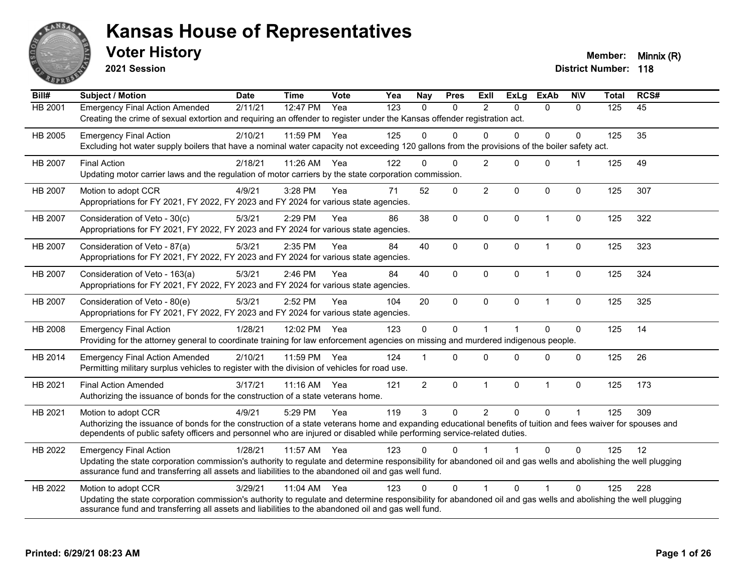

**2021 Session**

**Voter History Member: Minnix (R)** 

| Bill#          | <b>Subject / Motion</b>                                                                                                                                                                                                                                               | <b>Date</b> | <b>Time</b>  | <b>Vote</b>       | Yea | Nay            | <b>Pres</b> | ExIl           | <b>ExLg</b>  | <b>ExAb</b>  | <b>NIV</b>     | <b>Total</b> | RCS# |
|----------------|-----------------------------------------------------------------------------------------------------------------------------------------------------------------------------------------------------------------------------------------------------------------------|-------------|--------------|-------------------|-----|----------------|-------------|----------------|--------------|--------------|----------------|--------------|------|
| <b>HB 2001</b> | <b>Emergency Final Action Amended</b>                                                                                                                                                                                                                                 | 2/11/21     | 12:47 PM     | $\overline{Y}$ ea | 123 | $\Omega$       | $\Omega$    | $\mathfrak{p}$ | $\Omega$     | $\Omega$     | $\Omega$       | 125          | 45   |
|                | Creating the crime of sexual extortion and requiring an offender to register under the Kansas offender registration act.                                                                                                                                              |             |              |                   |     |                |             |                |              |              |                |              |      |
| HB 2005        | <b>Emergency Final Action</b>                                                                                                                                                                                                                                         | 2/10/21     | 11:59 PM     | Yea               | 125 | $\Omega$       | $\Omega$    | $\Omega$       | $\Omega$     | $\Omega$     | $\Omega$       | 125          | 35   |
|                | Excluding hot water supply boilers that have a nominal water capacity not exceeding 120 gallons from the provisions of the boiler safety act.                                                                                                                         |             |              |                   |     |                |             |                |              |              |                |              |      |
| HB 2007        | <b>Final Action</b>                                                                                                                                                                                                                                                   | 2/18/21     | 11:26 AM     | Yea               | 122 | 0              | $\Omega$    | $\overline{2}$ | $\Omega$     | $\mathbf 0$  | -1             | 125          | 49   |
|                | Updating motor carrier laws and the regulation of motor carriers by the state corporation commission.                                                                                                                                                                 |             |              |                   |     |                |             |                |              |              |                |              |      |
| <b>HB 2007</b> | Motion to adopt CCR                                                                                                                                                                                                                                                   | 4/9/21      | 3:28 PM      | Yea               | 71  | 52             | 0           | $\overline{2}$ | $\Omega$     | $\mathbf 0$  | $\mathbf{0}$   | 125          | 307  |
|                | Appropriations for FY 2021, FY 2022, FY 2023 and FY 2024 for various state agencies.                                                                                                                                                                                  |             |              |                   |     |                |             |                |              |              |                |              |      |
| HB 2007        | Consideration of Veto - 30(c)                                                                                                                                                                                                                                         | 5/3/21      | 2:29 PM      | Yea               | 86  | 38             | 0           | $\pmb{0}$      | $\mathbf{0}$ | $\mathbf{1}$ | 0              | 125          | 322  |
|                | Appropriations for FY 2021, FY 2022, FY 2023 and FY 2024 for various state agencies.                                                                                                                                                                                  |             |              |                   |     |                |             |                |              |              |                |              |      |
| HB 2007        | Consideration of Veto - 87(a)                                                                                                                                                                                                                                         | 5/3/21      | 2:35 PM      | Yea               | 84  | 40             | 0           | $\mathbf{0}$   | $\mathbf{0}$ | 1            | 0              | 125          | 323  |
|                | Appropriations for FY 2021, FY 2022, FY 2023 and FY 2024 for various state agencies.                                                                                                                                                                                  |             |              |                   |     |                |             |                |              |              |                |              |      |
| HB 2007        | Consideration of Veto - 163(a)                                                                                                                                                                                                                                        | 5/3/21      | 2:46 PM      | Yea               | 84  | 40             | 0           | $\Omega$       | $\mathbf{0}$ | $\mathbf{1}$ | 0              | 125          | 324  |
|                | Appropriations for FY 2021, FY 2022, FY 2023 and FY 2024 for various state agencies.                                                                                                                                                                                  |             |              |                   |     |                |             |                |              |              |                |              |      |
| HB 2007        | Consideration of Veto - 80(e)                                                                                                                                                                                                                                         | 5/3/21      | 2:52 PM      | Yea               | 104 | 20             | $\mathbf 0$ | $\Omega$       | $\mathbf{0}$ | $\mathbf{1}$ | $\Omega$       | 125          | 325  |
|                | Appropriations for FY 2021, FY 2022, FY 2023 and FY 2024 for various state agencies.                                                                                                                                                                                  |             |              |                   |     |                |             |                |              |              |                |              |      |
| HB 2008        | <b>Emergency Final Action</b>                                                                                                                                                                                                                                         | 1/28/21     | 12:02 PM     | Yea               | 123 | $\mathbf 0$    | 0           | $\overline{1}$ |              | $\Omega$     | 0              | 125          | 14   |
|                | Providing for the attorney general to coordinate training for law enforcement agencies on missing and murdered indigenous people.                                                                                                                                     |             |              |                   |     |                |             |                |              |              |                |              |      |
| HB 2014        | <b>Emergency Final Action Amended</b>                                                                                                                                                                                                                                 | 2/10/21     | 11:59 PM     | Yea               | 124 |                | $\Omega$    | $\Omega$       | $\Omega$     | $\Omega$     | $\Omega$       | 125          | 26   |
|                | Permitting military surplus vehicles to register with the division of vehicles for road use.                                                                                                                                                                          |             |              |                   |     |                |             |                |              |              |                |              |      |
| HB 2021        | <b>Final Action Amended</b>                                                                                                                                                                                                                                           | 3/17/21     | $11:16$ AM   | Yea               | 121 | $\overline{2}$ | 0           | $\mathbf 1$    | $\mathbf 0$  | $\mathbf{1}$ | 0              | 125          | 173  |
|                | Authorizing the issuance of bonds for the construction of a state veterans home.                                                                                                                                                                                      |             |              |                   |     |                |             |                |              |              |                |              |      |
| HB 2021        | Motion to adopt CCR                                                                                                                                                                                                                                                   | 4/9/21      | 5:29 PM      | Yea               | 119 | 3              | $\Omega$    | $\overline{2}$ | $\mathbf{0}$ | $\Omega$     | $\overline{1}$ | 125          | 309  |
|                | Authorizing the issuance of bonds for the construction of a state veterans home and expanding educational benefits of tuition and fees waiver for spouses and                                                                                                         |             |              |                   |     |                |             |                |              |              |                |              |      |
|                | dependents of public safety officers and personnel who are injured or disabled while performing service-related duties.                                                                                                                                               |             |              |                   |     |                |             |                |              |              |                |              |      |
| HB 2022        | <b>Emergency Final Action</b>                                                                                                                                                                                                                                         | 1/28/21     | 11:57 AM Yea |                   | 123 | 0              | 0           |                |              | 0            | $\Omega$       | 125          | 12   |
|                | Updating the state corporation commission's authority to regulate and determine responsibility for abandoned oil and gas wells and abolishing the well plugging                                                                                                       |             |              |                   |     |                |             |                |              |              |                |              |      |
|                | assurance fund and transferring all assets and liabilities to the abandoned oil and gas well fund.                                                                                                                                                                    |             |              |                   |     |                |             |                |              |              |                |              |      |
| HB 2022        | Motion to adopt CCR                                                                                                                                                                                                                                                   | 3/29/21     | 11:04 AM     | Yea               | 123 | $\Omega$       | $\Omega$    | -1             | $\Omega$     |              | $\Omega$       | 125          | 228  |
|                | Updating the state corporation commission's authority to regulate and determine responsibility for abandoned oil and gas wells and abolishing the well plugging<br>assurance fund and transferring all assets and liabilities to the abandoned oil and gas well fund. |             |              |                   |     |                |             |                |              |              |                |              |      |
|                |                                                                                                                                                                                                                                                                       |             |              |                   |     |                |             |                |              |              |                |              |      |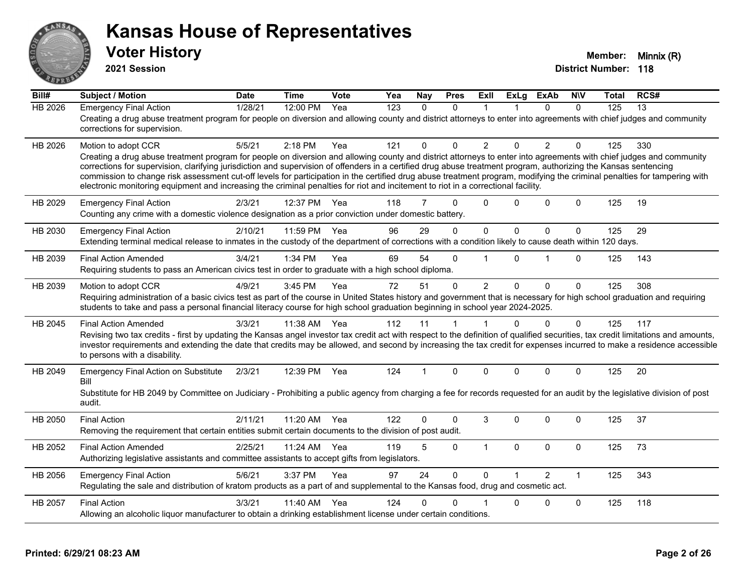

**2021 Session**

| Bill#          | <b>Subject / Motion</b>                                                                                                                                                                                                                                                                                                                                                                                                                                                                                                                                                                                                                                                         | <b>Date</b> | <b>Time</b> | Vote | Yea | Nay            | <b>Pres</b> | ExIl           | <b>ExLg</b>  | <b>ExAb</b>    | <b>NIV</b>   | Total | RCS# |
|----------------|---------------------------------------------------------------------------------------------------------------------------------------------------------------------------------------------------------------------------------------------------------------------------------------------------------------------------------------------------------------------------------------------------------------------------------------------------------------------------------------------------------------------------------------------------------------------------------------------------------------------------------------------------------------------------------|-------------|-------------|------|-----|----------------|-------------|----------------|--------------|----------------|--------------|-------|------|
| <b>HB 2026</b> | <b>Emergency Final Action</b><br>Creating a drug abuse treatment program for people on diversion and allowing county and district attorneys to enter into agreements with chief judges and community<br>corrections for supervision.                                                                                                                                                                                                                                                                                                                                                                                                                                            | 1/28/21     | 12:00 PM    | Yea  | 123 | $\Omega$       | $\Omega$    | 1              |              | $\Omega$       | $\Omega$     | 125   | 13   |
| HB 2026        | Motion to adopt CCR<br>Creating a drug abuse treatment program for people on diversion and allowing county and district attorneys to enter into agreements with chief judges and community<br>corrections for supervision, clarifying jurisdiction and supervision of offenders in a certified drug abuse treatment program, authorizing the Kansas sentencing<br>commission to change risk assessment cut-off levels for participation in the certified drug abuse treatment program, modifying the criminal penalties for tampering with<br>electronic monitoring equipment and increasing the criminal penalties for riot and incitement to riot in a correctional facility. | 5/5/21      | 2:18 PM     | Yea  | 121 | 0              | $\Omega$    | $\overline{2}$ | $\Omega$     | 2              | $\Omega$     | 125   | 330  |
| HB 2029        | <b>Emergency Final Action</b><br>Counting any crime with a domestic violence designation as a prior conviction under domestic battery.                                                                                                                                                                                                                                                                                                                                                                                                                                                                                                                                          | 2/3/21      | 12:37 PM    | Yea  | 118 | 7              | $\Omega$    | $\Omega$       | $\Omega$     | $\Omega$       | $\Omega$     | 125   | 19   |
| HB 2030        | <b>Emergency Final Action</b><br>Extending terminal medical release to inmates in the custody of the department of corrections with a condition likely to cause death within 120 days.                                                                                                                                                                                                                                                                                                                                                                                                                                                                                          | 2/10/21     | 11:59 PM    | Yea  | 96  | 29             | 0           | $\mathbf 0$    | $\mathbf{0}$ | 0              | $\mathbf 0$  | 125   | 29   |
| HB 2039        | <b>Final Action Amended</b><br>Requiring students to pass an American civics test in order to graduate with a high school diploma.                                                                                                                                                                                                                                                                                                                                                                                                                                                                                                                                              | 3/4/21      | 1:34 PM     | Yea  | 69  | 54             | $\Omega$    | 1              | $\Omega$     | 1              | $\mathbf 0$  | 125   | 143  |
| HB 2039        | Motion to adopt CCR<br>Requiring administration of a basic civics test as part of the course in United States history and government that is necessary for high school graduation and requiring<br>students to take and pass a personal financial literacy course for high school graduation beginning in school year 2024-2025.                                                                                                                                                                                                                                                                                                                                                | 4/9/21      | 3:45 PM     | Yea  | 72  | 51             | $\Omega$    | $\overline{2}$ | $\Omega$     | 0              | $\Omega$     | 125   | 308  |
| HB 2045        | <b>Final Action Amended</b><br>Revising two tax credits - first by updating the Kansas angel investor tax credit act with respect to the definition of qualified securities, tax credit limitations and amounts,<br>investor requirements and extending the date that credits may be allowed, and second by increasing the tax credit for expenses incurred to make a residence accessible<br>to persons with a disability.                                                                                                                                                                                                                                                     | 3/3/21      | 11:38 AM    | Yea  | 112 | 11             | 1           | 1              | $\Omega$     | $\Omega$       | $\Omega$     | 125   | 117  |
| HB 2049        | <b>Emergency Final Action on Substitute</b><br>Bill<br>Substitute for HB 2049 by Committee on Judiciary - Prohibiting a public agency from charging a fee for records requested for an audit by the legislative division of post<br>audit.                                                                                                                                                                                                                                                                                                                                                                                                                                      | 2/3/21      | 12:39 PM    | Yea  | 124 | $\overline{1}$ | $\Omega$    | $\Omega$       | $\Omega$     | $\Omega$       | $\Omega$     | 125   | 20   |
| HB 2050        | <b>Final Action</b><br>Removing the requirement that certain entities submit certain documents to the division of post audit.                                                                                                                                                                                                                                                                                                                                                                                                                                                                                                                                                   | 2/11/21     | 11:20 AM    | Yea  | 122 | 0              | $\Omega$    | 3              | $\Omega$     | $\Omega$       | $\mathbf{0}$ | 125   | 37   |
| HB 2052        | <b>Final Action Amended</b><br>Authorizing legislative assistants and committee assistants to accept gifts from legislators.                                                                                                                                                                                                                                                                                                                                                                                                                                                                                                                                                    | 2/25/21     | 11:24 AM    | Yea  | 119 | 5              | $\mathbf 0$ | $\mathbf 1$    | $\mathbf 0$  | 0              | $\mathbf 0$  | 125   | 73   |
| HB 2056        | <b>Emergency Final Action</b><br>Regulating the sale and distribution of kratom products as a part of and supplemental to the Kansas food, drug and cosmetic act.                                                                                                                                                                                                                                                                                                                                                                                                                                                                                                               | 5/6/21      | 3:37 PM     | Yea  | 97  | 24             | $\mathbf 0$ | $\Omega$       |              | $\overline{2}$ | $\mathbf{1}$ | 125   | 343  |
| HB 2057        | <b>Final Action</b><br>Allowing an alcoholic liquor manufacturer to obtain a drinking establishment license under certain conditions.                                                                                                                                                                                                                                                                                                                                                                                                                                                                                                                                           | 3/3/21      | 11:40 AM    | Yea  | 124 | 0              | $\Omega$    |                | $\Omega$     | 0              | $\mathbf 0$  | 125   | 118  |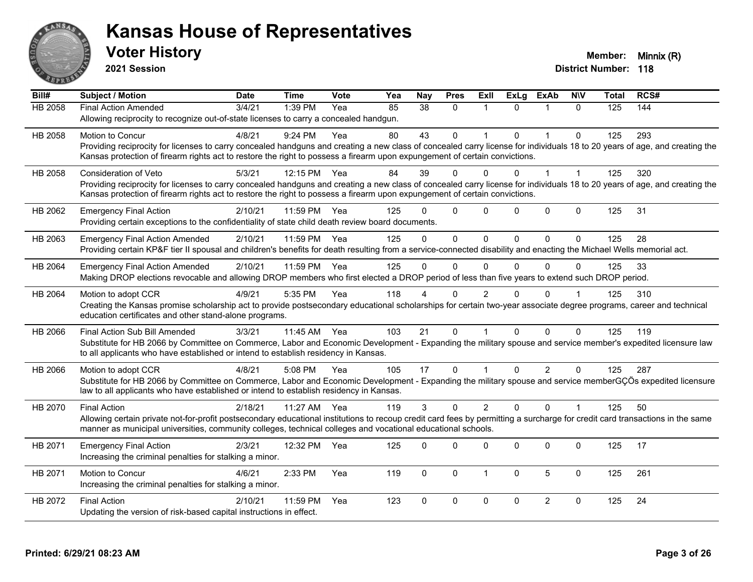

**2021 Session**

| Bill#          | Subject / Motion                                                                                                                                                             | <b>Date</b> | <b>Time</b> | <b>Vote</b> | Yea | <b>Nay</b> | <b>Pres</b>  | Exll                 | <b>ExLg</b>  | <b>ExAb</b>    | <b>NIV</b>   | Total | RCS# |
|----------------|------------------------------------------------------------------------------------------------------------------------------------------------------------------------------|-------------|-------------|-------------|-----|------------|--------------|----------------------|--------------|----------------|--------------|-------|------|
| <b>HB 2058</b> | <b>Final Action Amended</b>                                                                                                                                                  | 3/4/21      | 1:39 PM     | Yea         | 85  | 38         | $\Omega$     | $\blacktriangleleft$ | $\Omega$     | 1              | $\Omega$     | 125   | 144  |
|                | Allowing reciprocity to recognize out-of-state licenses to carry a concealed handgun.                                                                                        |             |             |             |     |            |              |                      |              |                |              |       |      |
| HB 2058        | Motion to Concur                                                                                                                                                             | 4/8/21      | 9:24 PM     | Yea         | 80  | 43         | $\mathbf 0$  |                      | $\Omega$     | $\mathbf 1$    | $\mathbf 0$  | 125   | 293  |
|                | Providing reciprocity for licenses to carry concealed handguns and creating a new class of concealed carry license for individuals 18 to 20 years of age, and creating the   |             |             |             |     |            |              |                      |              |                |              |       |      |
|                | Kansas protection of firearm rights act to restore the right to possess a firearm upon expungement of certain convictions.                                                   |             |             |             |     |            |              |                      |              |                |              |       |      |
| HB 2058        | <b>Consideration of Veto</b>                                                                                                                                                 | 5/3/21      | 12:15 PM    | Yea         | 84  | 39         | $\Omega$     | 0                    | 0            | 1              |              | 125   | 320  |
|                | Providing reciprocity for licenses to carry concealed handguns and creating a new class of concealed carry license for individuals 18 to 20 years of age, and creating the   |             |             |             |     |            |              |                      |              |                |              |       |      |
|                | Kansas protection of firearm rights act to restore the right to possess a firearm upon expungement of certain convictions.                                                   |             |             |             |     |            |              |                      |              |                |              |       |      |
| HB 2062        | <b>Emergency Final Action</b>                                                                                                                                                | 2/10/21     | 11:59 PM    | Yea         | 125 | $\Omega$   | $\mathbf 0$  | $\Omega$             | $\Omega$     | $\mathbf 0$    | $\mathbf 0$  | 125   | 31   |
|                | Providing certain exceptions to the confidentiality of state child death review board documents.                                                                             |             |             |             |     |            |              |                      |              |                |              |       |      |
| HB 2063        | <b>Emergency Final Action Amended</b>                                                                                                                                        | 2/10/21     | 11:59 PM    | Yea         | 125 | $\Omega$   | $\Omega$     | $\Omega$             | $\mathbf{0}$ | $\Omega$       | $\mathbf{0}$ | 125   | 28   |
|                | Providing certain KP&F tier II spousal and children's benefits for death resulting from a service-connected disability and enacting the Michael Wells memorial act.          |             |             |             |     |            |              |                      |              |                |              |       |      |
| HB 2064        | <b>Emergency Final Action Amended</b>                                                                                                                                        | 2/10/21     | 11:59 PM    | Yea         | 125 | $\Omega$   | $\mathbf{0}$ | 0                    | $\Omega$     | $\Omega$       | $\Omega$     | 125   | 33   |
|                | Making DROP elections revocable and allowing DROP members who first elected a DROP period of less than five years to extend such DROP period.                                |             |             |             |     |            |              |                      |              |                |              |       |      |
| HB 2064        | Motion to adopt CCR                                                                                                                                                          | 4/9/21      | 5:35 PM     | Yea         | 118 |            | $\Omega$     | 2                    |              | $\Omega$       |              | 125   | 310  |
|                | Creating the Kansas promise scholarship act to provide postsecondary educational scholarships for certain two-year associate degree programs, career and technical           |             |             |             |     |            |              |                      |              |                |              |       |      |
|                | education certificates and other stand-alone programs.                                                                                                                       |             |             |             |     |            |              |                      |              |                |              |       |      |
| HB 2066        | Final Action Sub Bill Amended                                                                                                                                                | 3/3/21      | 11:45 AM    | Yea         | 103 | 21         | $\Omega$     | $\overline{1}$       | $\Omega$     | $\Omega$       | $\Omega$     | 125   | 119  |
|                | Substitute for HB 2066 by Committee on Commerce, Labor and Economic Development - Expanding the military spouse and service member's expedited licensure law                 |             |             |             |     |            |              |                      |              |                |              |       |      |
|                | to all applicants who have established or intend to establish residency in Kansas.                                                                                           |             |             |             |     |            |              |                      |              |                |              |       |      |
| HB 2066        | Motion to adopt CCR                                                                                                                                                          | 4/8/21      | 5:08 PM     | Yea         | 105 | 17         | $\mathbf{0}$ | $\overline{1}$       | $\Omega$     | $\overline{2}$ | $\Omega$     | 125   | 287  |
|                | Substitute for HB 2066 by Committee on Commerce, Labor and Economic Development - Expanding the military spouse and service memberGÇÖs expedited licensure                   |             |             |             |     |            |              |                      |              |                |              |       |      |
|                | law to all applicants who have established or intend to establish residency in Kansas.                                                                                       |             |             |             |     |            |              |                      |              |                |              |       |      |
| HB 2070        | <b>Final Action</b>                                                                                                                                                          | 2/18/21     | 11:27 AM    | Yea         | 119 | 3          | $\Omega$     | 2                    | $\Omega$     | $\Omega$       | $\mathbf{1}$ | 125   | 50   |
|                | Allowing certain private not-for-profit postsecondary educational institutions to recoup credit card fees by permitting a surcharge for credit card transactions in the same |             |             |             |     |            |              |                      |              |                |              |       |      |
|                | manner as municipal universities, community colleges, technical colleges and vocational educational schools.                                                                 |             |             |             |     |            |              |                      |              |                |              |       |      |
| HB 2071        | <b>Emergency Final Action</b>                                                                                                                                                | 2/3/21      | 12:32 PM    | Yea         | 125 | $\Omega$   | $\Omega$     | $\Omega$             | $\Omega$     | $\Omega$       | $\mathbf{0}$ | 125   | 17   |
|                | Increasing the criminal penalties for stalking a minor.                                                                                                                      |             |             |             |     |            |              |                      |              |                |              |       |      |
| HB 2071        | Motion to Concur                                                                                                                                                             | 4/6/21      | 2:33 PM     | Yea         | 119 | 0          | $\mathbf 0$  | $\mathbf{1}$         | $\mathbf 0$  | 5              | $\mathbf 0$  | 125   | 261  |
|                | Increasing the criminal penalties for stalking a minor.                                                                                                                      |             |             |             |     |            |              |                      |              |                |              |       |      |
| HB 2072        | <b>Final Action</b>                                                                                                                                                          | 2/10/21     | 11:59 PM    | Yea         | 123 | $\Omega$   | $\pmb{0}$    | 0                    | $\mathbf{0}$ | $\overline{2}$ | $\mathbf 0$  | 125   | 24   |
|                | Updating the version of risk-based capital instructions in effect.                                                                                                           |             |             |             |     |            |              |                      |              |                |              |       |      |
|                |                                                                                                                                                                              |             |             |             |     |            |              |                      |              |                |              |       |      |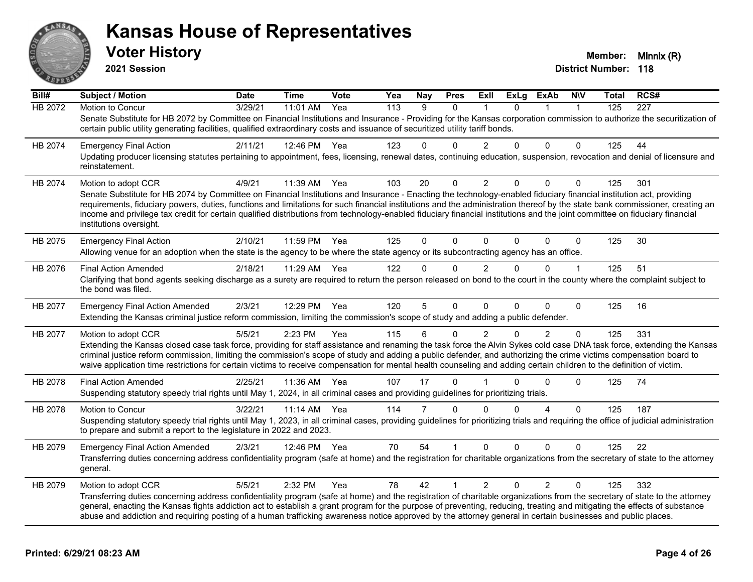

**2021 Session**

**Bill# Subject / Motion Date Time Vote Yea Nay Pres Exll ExLg ExAb N\V Total RCS#** HB 2072 Motion to Concur 3/29/21 11:01 AM Yea 113 9 0 1 0 1 1 125 227 Senate Substitute for HB 2072 by Committee on Financial Institutions and Insurance - Providing for the Kansas corporation commission to authorize the securitization of certain public utility generating facilities, qualified extraordinary costs and issuance of securitized utility tariff bonds. HB 2074 Emergency Final Action 2/11/21 12:46 PM Yea 123 0 0 2 0 0 0 125 44 Updating producer licensing statutes pertaining to appointment, fees, licensing, renewal dates, continuing education, suspension, revocation and denial of licensure and reinstatement. HB 2074 Motion to adopt CCR 4/9/21 11:39 AM Yea 103 20 0 2 0 0 0 125 301 Senate Substitute for HB 2074 by Committee on Financial Institutions and Insurance - Enacting the technology-enabled fiduciary financial institution act, providing requirements, fiduciary powers, duties, functions and limitations for such financial institutions and the administration thereof by the state bank commissioner, creating an income and privilege tax credit for certain qualified distributions from technology-enabled fiduciary financial institutions and the joint committee on fiduciary financial institutions oversight. HB 2075 Emergency Final Action 2/10/21 11:59 PM Yea 125 0 0 0 0 0 0 125 30 Allowing venue for an adoption when the state is the agency to be where the state agency or its subcontracting agency has an office. HB 2076 Final Action Amended 2/18/21 11:29 AM Yea 122 0 0 2 0 0 1 125 51 Clarifying that bond agents seeking discharge as a surety are required to return the person released on bond to the court in the county where the complaint subject to the bond was filed. HB 2077 Emergency Final Action Amended 2/3/21 12:29 PM Yea 120 5 0 0 0 0 0 125 16 Extending the Kansas criminal justice reform commission, limiting the commission's scope of study and adding a public defender. HB 2077 Motion to adopt CCR 5/5/21 2:23 PM Yea 115 6 0 2 0 2 0 125 331 Extending the Kansas closed case task force, providing for staff assistance and renaming the task force the Alvin Sykes cold case DNA task force, extending the Kansas criminal justice reform commission, limiting the commission's scope of study and adding a public defender, and authorizing the crime victims compensation board to waive application time restrictions for certain victims to receive compensation for mental health counseling and adding certain children to the definition of victim. HB 2078 Final Action Amended 2/25/21 11:36 AM Yea 107 17 0 1 0 0 0 125 74 Suspending statutory speedy trial rights until May 1, 2024, in all criminal cases and providing guidelines for prioritizing trials. HB 2078 Motion to Concur 3/22/21 11:14 AM Yea 114 7 0 0 0 4 0 125 187 Suspending statutory speedy trial rights until May 1, 2023, in all criminal cases, providing quidelines for prioritizing trials and requiring the office of judicial administration to prepare and submit a report to the legislature in 2022 and 2023. HB 2079 Emergency Final Action Amended 2/3/21 12:46 PM Yea 70 54 1 0 0 0 0 125 22 Transferring duties concerning address confidentiality program (safe at home) and the registration for charitable organizations from the secretary of state to the attorney general. HB 2079 Motion to adopt CCR 6/5/21 2:32 PM Yea 78 42 1 2 0 2 0 125 332 Transferring duties concerning address confidentiality program (safe at home) and the registration of charitable organizations from the secretary of state to the attorney general, enacting the Kansas fights addiction act to establish a grant program for the purpose of preventing, reducing, treating and mitigating the effects of substance abuse and addiction and requiring posting of a human trafficking awareness notice approved by the attorney general in certain businesses and public places.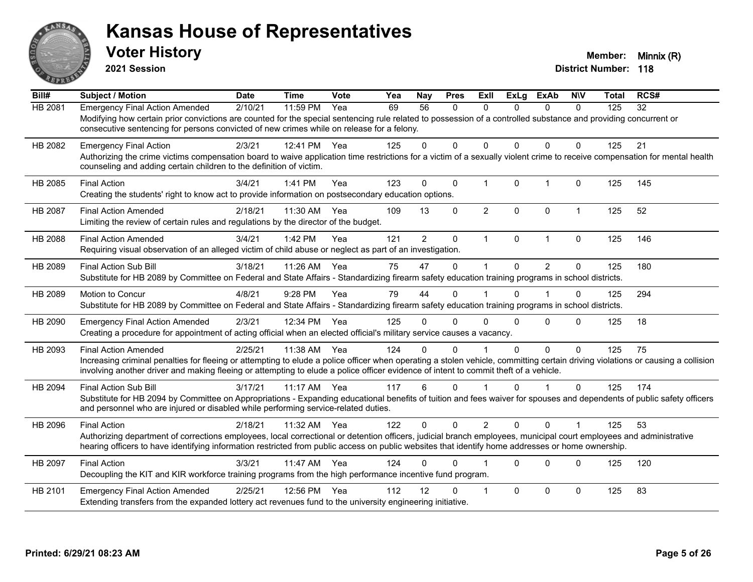

**2021 Session**

| $\overline{BiII#}$ | <b>Subject / Motion</b>                                                                                                                                                                                                                                                                                                                                | <b>Date</b> | <b>Time</b> | Vote | Yea | Nay            | <b>Pres</b>  | ExIl           | <b>ExLg</b>  | <b>ExAb</b>    | <b>NIV</b>     | <b>Total</b> | RCS# |
|--------------------|--------------------------------------------------------------------------------------------------------------------------------------------------------------------------------------------------------------------------------------------------------------------------------------------------------------------------------------------------------|-------------|-------------|------|-----|----------------|--------------|----------------|--------------|----------------|----------------|--------------|------|
| HB 2081            | <b>Emergency Final Action Amended</b><br>Modifying how certain prior convictions are counted for the special sentencing rule related to possession of a controlled substance and providing concurrent or<br>consecutive sentencing for persons convicted of new crimes while on release for a felony.                                                  | 2/10/21     | 11:59 PM    | Yea  | 69  | 56             | 0            | $\mathbf{0}$   | $\Omega$     | $\mathbf{0}$   | 0              | 125          | 32   |
| HB 2082            | <b>Emergency Final Action</b><br>Authorizing the crime victims compensation board to waive application time restrictions for a victim of a sexually violent crime to receive compensation for mental health<br>counseling and adding certain children to the definition of victim.                                                                     | 2/3/21      | 12:41 PM    | Yea  | 125 | $\Omega$       | $\Omega$     | $\mathbf{0}$   | $\Omega$     | $\Omega$       | $\mathbf{0}$   | 125          | 21   |
| HB 2085            | <b>Final Action</b><br>Creating the students' right to know act to provide information on postsecondary education options.                                                                                                                                                                                                                             | 3/4/21      | 1:41 PM     | Yea  | 123 | $\Omega$       | $\mathbf 0$  | $\mathbf{1}$   | $\mathbf 0$  | $\mathbf{1}$   | $\mathbf 0$    | 125          | 145  |
| <b>HB 2087</b>     | <b>Final Action Amended</b><br>Limiting the review of certain rules and regulations by the director of the budget.                                                                                                                                                                                                                                     | 2/18/21     | 11:30 AM    | Yea  | 109 | 13             | $\mathbf{0}$ | $\overline{2}$ | $\mathbf{0}$ | $\mathbf{0}$   | $\mathbf{1}$   | 125          | 52   |
| HB 2088            | <b>Final Action Amended</b><br>Requiring visual observation of an alleged victim of child abuse or neglect as part of an investigation.                                                                                                                                                                                                                | 3/4/21      | 1:42 PM     | Yea  | 121 | $\overline{2}$ | $\mathbf{0}$ | $\mathbf{1}$   | $\mathbf{0}$ | $\mathbf{1}$   | $\mathbf{0}$   | 125          | 146  |
| HB 2089            | <b>Final Action Sub Bill</b><br>Substitute for HB 2089 by Committee on Federal and State Affairs - Standardizing firearm safety education training programs in school districts.                                                                                                                                                                       | 3/18/21     | 11:26 AM    | Yea  | 75  | 47             | $\Omega$     | 1              | $\Omega$     | $\mathfrak{p}$ | $\mathbf{0}$   | 125          | 180  |
| HB 2089            | Motion to Concur<br>Substitute for HB 2089 by Committee on Federal and State Affairs - Standardizing firearm safety education training programs in school districts.                                                                                                                                                                                   | 4/8/21      | 9:28 PM     | Yea  | 79  | 44             | $\Omega$     |                | $\Omega$     |                | $\mathbf 0$    | 125          | 294  |
| HB 2090            | <b>Emergency Final Action Amended</b><br>Creating a procedure for appointment of acting official when an elected official's military service causes a vacancy.                                                                                                                                                                                         | 2/3/21      | 12:34 PM    | Yea  | 125 | 0              | 0            | $\Omega$       | $\Omega$     | $\Omega$       | $\mathbf{0}$   | 125          | 18   |
| HB 2093            | <b>Final Action Amended</b><br>Increasing criminal penalties for fleeing or attempting to elude a police officer when operating a stolen vehicle, committing certain driving violations or causing a collision<br>involving another driver and making fleeing or attempting to elude a police officer evidence of intent to commit theft of a vehicle. | 2/25/21     | 11:38 AM    | Yea  | 124 | 0              | $\Omega$     |                | 0            | $\Omega$       | $\mathbf{0}$   | 125          | 75   |
| HB 2094            | <b>Final Action Sub Bill</b><br>Substitute for HB 2094 by Committee on Appropriations - Expanding educational benefits of tuition and fees waiver for spouses and dependents of public safety officers<br>and personnel who are injured or disabled while performing service-related duties.                                                           | 3/17/21     | $11:17$ AM  | Yea  | 117 | 6              | $\Omega$     |                | $\Omega$     | 1              | $\Omega$       | 125          | 174  |
| HB 2096            | <b>Final Action</b><br>Authorizing department of corrections employees, local correctional or detention officers, judicial branch employees, municipal court employees and administrative<br>hearing officers to have identifying information restricted from public access on public websites that identify home addresses or home ownership.         | 2/18/21     | 11:32 AM    | Yea  | 122 | $\Omega$       | $\Omega$     | $\overline{2}$ | $\Omega$     | $\Omega$       | $\overline{1}$ | 125          | 53   |
| HB 2097            | <b>Final Action</b><br>Decoupling the KIT and KIR workforce training programs from the high performance incentive fund program.                                                                                                                                                                                                                        | 3/3/21      | 11:47 AM    | Yea  | 124 | U              | $\Omega$     |                | $\Omega$     | $\Omega$       | $\mathbf{0}$   | 125          | 120  |
| HB 2101            | <b>Emergency Final Action Amended</b><br>Extending transfers from the expanded lottery act revenues fund to the university engineering initiative.                                                                                                                                                                                                     | 2/25/21     | 12:56 PM    | Yea  | 112 | 12             | $\Omega$     | $\overline{1}$ | $\Omega$     | $\Omega$       | $\mathbf{0}$   | 125          | 83   |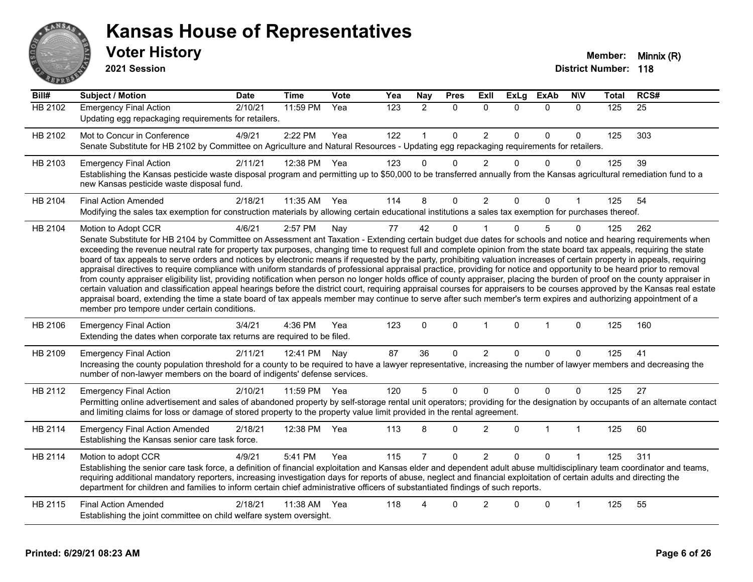

**2021 Session**

**Bill# Subject / Motion Date Time Vote Yea Nay Pres Exll ExLg ExAb N\V Total RCS#** HB 2102 Emergency Final Action 2/10/21 11:59 PM Yea 123 2 0 0 0 0 0 125 25 Updating egg repackaging requirements for retailers. HB 2102 Mot to Concur in Conference 4/9/21 2:22 PM Yea 122 1 0 2 0 0 0 125 303 Senate Substitute for HB 2102 by Committee on Agriculture and Natural Resources - Updating egg repackaging requirements for retailers. HB 2103 Emergency Final Action 2/11/21 12:38 PM Yea 123 0 0 2 0 0 0 125 39 Establishing the Kansas pesticide waste disposal program and permitting up to \$50,000 to be transferred annually from the Kansas agricultural remediation fund to a new Kansas pesticide waste disposal fund. HB 2104 Final Action Amended 2/18/21 11:35 AM Yea 114 8 0 2 0 0 1 125 54 Modifying the sales tax exemption for construction materials by allowing certain educational institutions a sales tax exemption for purchases thereof. HB 2104 Motion to Adopt CCR 4/6/21 2:57 PM Nay 77 42 0 1 0 5 0 125 262 Senate Substitute for HB 2104 by Committee on Assessment ant Taxation - Extending certain budget due dates for schools and notice and hearing requirements when exceeding the revenue neutral rate for property tax purposes, changing time to request full and complete opinion from the state board tax appeals, requiring the state board of tax appeals to serve orders and notices by electronic means if requested by the party, prohibiting valuation increases of certain property in appeals, requiring appraisal directives to require compliance with uniform standards of professional appraisal practice, providing for notice and opportunity to be heard prior to removal from county appraiser eligibility list, providing notification when person no longer holds office of county appraiser, placing the burden of proof on the county appraiser in certain valuation and classification appeal hearings before the district court, requiring appraisal courses for appraisers to be courses approved by the Kansas real estate appraisal board, extending the time a state board of tax appeals member may continue to serve after such member's term expires and authorizing appointment of a member pro tempore under certain conditions. HB 2106 Emergency Final Action 3/4/21 4:36 PM Yea 123 0 0 1 0 1 0 125 160 Extending the dates when corporate tax returns are required to be filed. HB 2109 Emergency Final Action 2/11/21 12:41 PM Nay 87 36 0 2 0 0 0 125 41 Increasing the county population threshold for a county to be required to have a lawyer representative, increasing the number of lawyer members and decreasing the number of non-lawyer members on the board of indigents' defense services. HB 2112 Emergency Final Action 2/10/21 11:59 PM Yea 120 5 0 0 0 0 0 125 27 Permitting online advertisement and sales of abandoned property by self-storage rental unit operators; providing for the designation by occupants of an alternate contact and limiting claims for loss or damage of stored property to the property value limit provided in the rental agreement. HB 2114 Emergency Final Action Amended 2/18/21 12:38 PM Yea 113 8 0 2 0 1 1 1 125 60

Establishing the Kansas senior care task force. HB 2114 Motion to adopt CCR 4/9/21 5:41 PM Yea 115 7 0 2 0 0 1 125 311 Establishing the senior care task force, a definition of financial exploitation and Kansas elder and dependent adult abuse multidisciplinary team coordinator and teams, requiring additional mandatory reporters, increasing investigation days for reports of abuse, neglect and financial exploitation of certain adults and directing the department for children and families to inform certain chief administrative officers of substantiated findings of such reports. HB 2115 Final Action Amended 2/18/21 11:38 AM Yea 118 4 0 2 0 0 1 125 55 Establishing the joint committee on child welfare system oversight.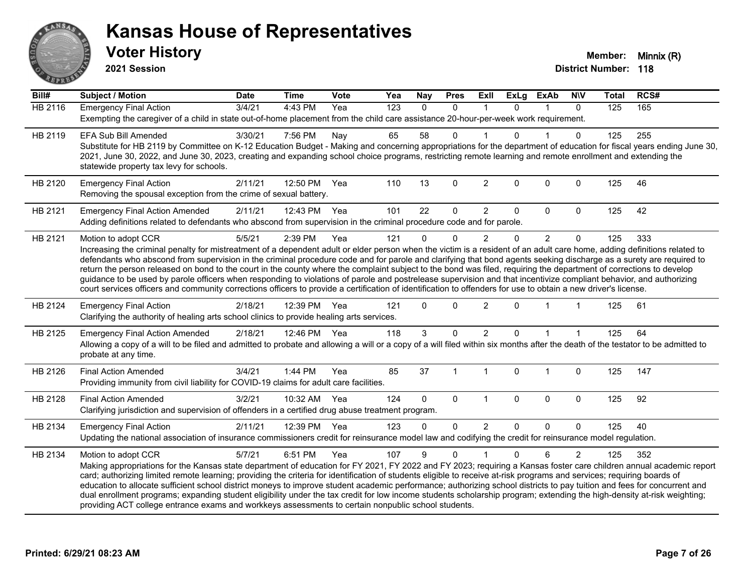

**2021 Session**

| Bill#          | Subject / Motion                                                                                                                                                                                                                                                                                                                                                                                                                                                                                                                                                                                                                                                                                                                                                                                                                                                                       | <b>Date</b> | <b>Time</b>  | Vote | Yea | Nay          | <b>Pres</b>  | ExIl           | <b>ExLg</b>  | <b>ExAb</b>    | <b>NIV</b>     | <b>Total</b> | RCS# |
|----------------|----------------------------------------------------------------------------------------------------------------------------------------------------------------------------------------------------------------------------------------------------------------------------------------------------------------------------------------------------------------------------------------------------------------------------------------------------------------------------------------------------------------------------------------------------------------------------------------------------------------------------------------------------------------------------------------------------------------------------------------------------------------------------------------------------------------------------------------------------------------------------------------|-------------|--------------|------|-----|--------------|--------------|----------------|--------------|----------------|----------------|--------------|------|
| <b>HB 2116</b> | <b>Emergency Final Action</b><br>Exempting the caregiver of a child in state out-of-home placement from the child care assistance 20-hour-per-week work requirement.                                                                                                                                                                                                                                                                                                                                                                                                                                                                                                                                                                                                                                                                                                                   | 3/4/21      | 4:43 PM      | Yea  | 123 | $\Omega$     | 0            | $\mathbf 1$    | $\Omega$     | $\mathbf{1}$   | $\mathbf{0}$   | 125          | 165  |
| HB 2119        | <b>EFA Sub Bill Amended</b><br>Substitute for HB 2119 by Committee on K-12 Education Budget - Making and concerning appropriations for the department of education for fiscal years ending June 30,<br>2021, June 30, 2022, and June 30, 2023, creating and expanding school choice programs, restricting remote learning and remote enrollment and extending the<br>statewide property tax levy for schools.                                                                                                                                                                                                                                                                                                                                                                                                                                                                          | 3/30/21     | 7:56 PM      | Nay  | 65  | 58           | 0            |                | 0            |                | $\mathbf{0}$   | 125          | 255  |
| HB 2120        | <b>Emergency Final Action</b><br>Removing the spousal exception from the crime of sexual battery.                                                                                                                                                                                                                                                                                                                                                                                                                                                                                                                                                                                                                                                                                                                                                                                      | 2/11/21     | 12:50 PM     | Yea  | 110 | 13           | 0            | $\overline{2}$ | $\mathbf 0$  | 0              | $\mathbf 0$    | 125          | 46   |
| HB 2121        | <b>Emergency Final Action Amended</b><br>Adding definitions related to defendants who abscond from supervision in the criminal procedure code and for parole.                                                                                                                                                                                                                                                                                                                                                                                                                                                                                                                                                                                                                                                                                                                          | 2/11/21     | 12:43 PM     | Yea  | 101 | 22           | $\Omega$     | $\overline{2}$ | $\Omega$     | 0              | $\mathbf{0}$   | 125          | 42   |
| HB 2121        | Motion to adopt CCR<br>Increasing the criminal penalty for mistreatment of a dependent adult or elder person when the victim is a resident of an adult care home, adding definitions related to<br>defendants who abscond from supervision in the criminal procedure code and for parole and clarifying that bond agents seeking discharge as a surety are required to<br>return the person released on bond to the court in the county where the complaint subject to the bond was filed, requiring the department of corrections to develop<br>guidance to be used by parole officers when responding to violations of parole and postrelease supervision and that incentivize compliant behavior, and authorizing<br>court services officers and community corrections officers to provide a certification of identification to offenders for use to obtain a new driver's license. | 5/5/21      | 2:39 PM      | Yea  | 121 | $\Omega$     | $\mathbf 0$  | 2              | 0            | $\overline{2}$ | $\mathbf 0$    | 125          | 333  |
| HB 2124        | <b>Emergency Final Action</b><br>Clarifying the authority of healing arts school clinics to provide healing arts services.                                                                                                                                                                                                                                                                                                                                                                                                                                                                                                                                                                                                                                                                                                                                                             | 2/18/21     | 12:39 PM     | Yea  | 121 | $\Omega$     | $\Omega$     | $\overline{2}$ | $\Omega$     |                |                | 125          | 61   |
| HB 2125        | <b>Emergency Final Action Amended</b><br>Allowing a copy of a will to be filed and admitted to probate and allowing a will or a copy of a will filed within six months after the death of the testator to be admitted to<br>probate at any time.                                                                                                                                                                                                                                                                                                                                                                                                                                                                                                                                                                                                                                       | 2/18/21     | 12:46 PM     | Yea  | 118 | 3            | $\Omega$     | $\overline{c}$ | $\Omega$     |                |                | 125          | 64   |
| HB 2126        | <b>Final Action Amended</b><br>Providing immunity from civil liability for COVID-19 claims for adult care facilities.                                                                                                                                                                                                                                                                                                                                                                                                                                                                                                                                                                                                                                                                                                                                                                  | 3/4/21      | 1:44 PM      | Yea  | 85  | 37           | $\mathbf{1}$ | $\mathbf{1}$   | $\Omega$     | 1              | $\mathbf 0$    | 125          | 147  |
| HB 2128        | <b>Final Action Amended</b><br>Clarifying jurisdiction and supervision of offenders in a certified drug abuse treatment program.                                                                                                                                                                                                                                                                                                                                                                                                                                                                                                                                                                                                                                                                                                                                                       | 3/2/21      | 10:32 AM Yea |      | 124 | $\mathbf{0}$ | $\mathbf 0$  | $\mathbf{1}$   | $\mathbf{0}$ | $\Omega$       | $\mathbf 0$    | 125          | 92   |
| HB 2134        | <b>Emergency Final Action</b><br>Updating the national association of insurance commissioners credit for reinsurance model law and codifying the credit for reinsurance model regulation.                                                                                                                                                                                                                                                                                                                                                                                                                                                                                                                                                                                                                                                                                              | 2/11/21     | 12:39 PM     | Yea  | 123 | $\Omega$     | $\Omega$     | $\overline{2}$ | $\Omega$     | $\Omega$       | $\Omega$       | 125          | 40   |
| HB 2134        | Motion to adopt CCR<br>Making appropriations for the Kansas state department of education for FY 2021, FY 2022 and FY 2023; requiring a Kansas foster care children annual academic report<br>card; authorizing limited remote learning; providing the criteria for identification of students eligible to receive at-risk programs and services; requiring boards of<br>education to allocate sufficient school district moneys to improve student academic performance; authorizing school districts to pay tuition and fees for concurrent and<br>dual enrollment programs; expanding student eligibility under the tax credit for low income students scholarship program; extending the high-density at-risk weighting;<br>providing ACT college entrance exams and workkeys assessments to certain nonpublic school students.                                                    | 5/7/21      | 6:51 PM      | Yea  | 107 | 9            | $\Omega$     |                | $\Omega$     | 6              | $\overline{2}$ | 125          | 352  |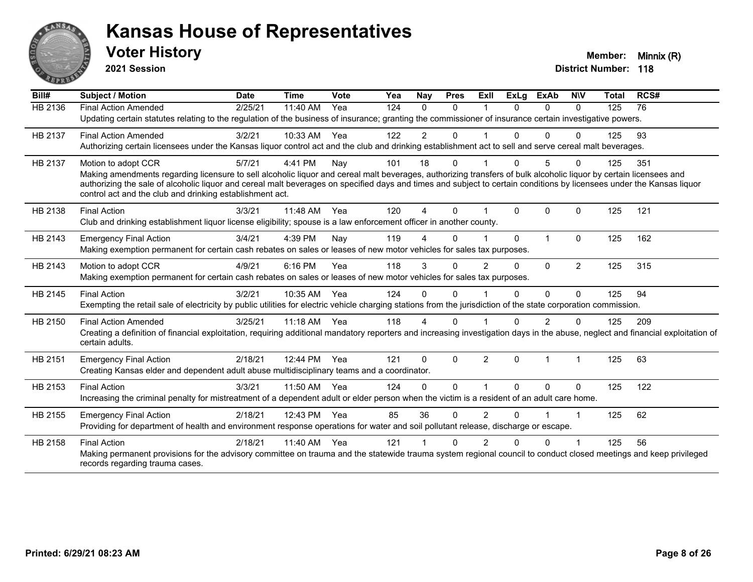

**2021 Session**

| Bill#          | <b>Subject / Motion</b>                                                                                                                                                                                                                                                                                                                                                                                                       | <b>Date</b> | <b>Time</b> | Vote | Yea | Nay            | <b>Pres</b>  | ExII           | <b>ExLg</b>  | ExAb           | <b>NIV</b>     | <b>Total</b> | RCS# |
|----------------|-------------------------------------------------------------------------------------------------------------------------------------------------------------------------------------------------------------------------------------------------------------------------------------------------------------------------------------------------------------------------------------------------------------------------------|-------------|-------------|------|-----|----------------|--------------|----------------|--------------|----------------|----------------|--------------|------|
| <b>HB 2136</b> | <b>Final Action Amended</b><br>Updating certain statutes relating to the regulation of the business of insurance; granting the commissioner of insurance certain investigative powers.                                                                                                                                                                                                                                        | 2/25/21     | 11:40 AM    | Yea  | 124 | $\Omega$       | $\Omega$     |                | $\Omega$     | $\Omega$       | $\Omega$       | 125          | 76   |
| HB 2137        | <b>Final Action Amended</b><br>Authorizing certain licensees under the Kansas liquor control act and the club and drinking establishment act to sell and serve cereal malt beverages.                                                                                                                                                                                                                                         | 3/2/21      | 10:33 AM    | Yea  | 122 | $\overline{2}$ | 0            |                | $\Omega$     | $\Omega$       |                | 125          | 93   |
| HB 2137        | Motion to adopt CCR<br>Making amendments regarding licensure to sell alcoholic liquor and cereal malt beverages, authorizing transfers of bulk alcoholic liquor by certain licensees and<br>authorizing the sale of alcoholic liquor and cereal malt beverages on specified days and times and subject to certain conditions by licensees under the Kansas liquor<br>control act and the club and drinking establishment act. | 5/7/21      | 4:41 PM     | Nav  | 101 | 18             | 0            |                | n            | 5              |                | 125          | 351  |
| HB 2138        | <b>Final Action</b><br>Club and drinking establishment liquor license eligibility; spouse is a law enforcement officer in another county.                                                                                                                                                                                                                                                                                     | 3/3/21      | 11:48 AM    | Yea  | 120 | 4              | $\Omega$     |                | $\mathbf{0}$ | $\mathbf{0}$   | $\Omega$       | 125          | 121  |
| HB 2143        | <b>Emergency Final Action</b><br>Making exemption permanent for certain cash rebates on sales or leases of new motor vehicles for sales tax purposes.                                                                                                                                                                                                                                                                         | 3/4/21      | 4:39 PM     | Nay  | 119 | 4              | 0            |                | $\Omega$     | 1              | $\mathbf{0}$   | 125          | 162  |
| HB 2143        | Motion to adopt CCR<br>Making exemption permanent for certain cash rebates on sales or leases of new motor vehicles for sales tax purposes.                                                                                                                                                                                                                                                                                   | 4/9/21      | 6:16 PM     | Yea  | 118 | 3              | $\mathbf{0}$ | $\mathcal{P}$  | $\Omega$     | $\Omega$       | $\overline{2}$ | 125          | 315  |
| HB 2145        | <b>Final Action</b><br>Exempting the retail sale of electricity by public utilities for electric vehicle charging stations from the jurisdiction of the state corporation commission.                                                                                                                                                                                                                                         | 3/2/21      | 10:35 AM    | Yea  | 124 | 0              | $\Omega$     |                | $\Omega$     | $\Omega$       | $\Omega$       | 125          | 94   |
| HB 2150        | <b>Final Action Amended</b><br>Creating a definition of financial exploitation, requiring additional mandatory reporters and increasing investigation days in the abuse, neglect and financial exploitation of<br>certain adults.                                                                                                                                                                                             | 3/25/21     | 11:18 AM    | Yea  | 118 | Δ              | 0            |                | $\Omega$     | $\overline{2}$ | $\Omega$       | 125          | 209  |
| HB 2151        | <b>Emergency Final Action</b><br>Creating Kansas elder and dependent adult abuse multidisciplinary teams and a coordinator.                                                                                                                                                                                                                                                                                                   | 2/18/21     | 12:44 PM    | Yea  | 121 | 0              | 0            | $\overline{2}$ | $\mathbf{0}$ | 1              |                | 125          | 63   |
| HB 2153        | <b>Final Action</b><br>Increasing the criminal penalty for mistreatment of a dependent adult or elder person when the victim is a resident of an adult care home.                                                                                                                                                                                                                                                             | 3/3/21      | 11:50 AM    | Yea  | 124 | 0              | $\mathbf 0$  |                | $\mathbf{0}$ | $\Omega$       | $\Omega$       | 125          | 122  |
| HB 2155        | <b>Emergency Final Action</b><br>Providing for department of health and environment response operations for water and soil pollutant release, discharge or escape.                                                                                                                                                                                                                                                            | 2/18/21     | 12:43 PM    | Yea  | 85  | 36             | $\Omega$     | $\overline{2}$ | $\Omega$     |                |                | 125          | 62   |
| HB 2158        | <b>Final Action</b><br>Making permanent provisions for the advisory committee on trauma and the statewide trauma system regional council to conduct closed meetings and keep privileged<br>records regarding trauma cases.                                                                                                                                                                                                    | 2/18/21     | 11:40 AM    | Yea  | 121 |                | 0            |                | $\Omega$     | $\mathbf{0}$   |                | 125          | 56   |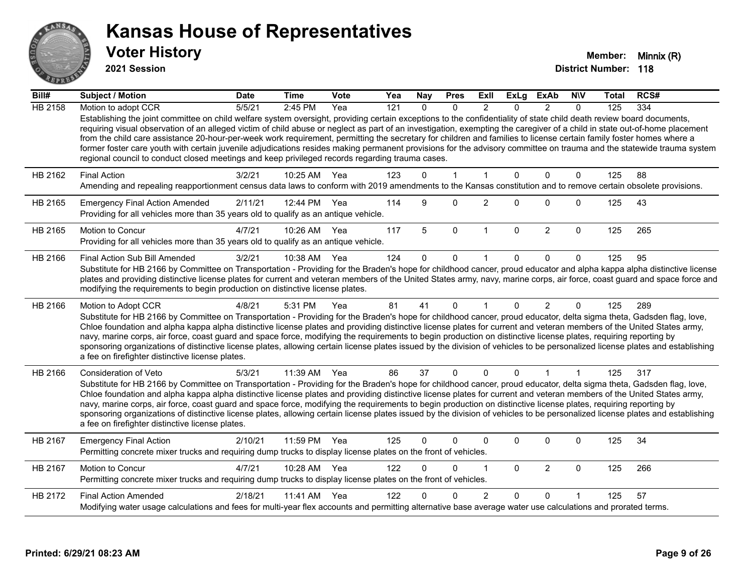

**2021 Session**

| Bill#          | <b>Subject / Motion</b>                                                                                                                                                                                                                                                                                                                                                                                                                                                                                                                                                                                                                                                                                                                                                                               | <b>Date</b> | <b>Time</b>  | Vote | Yea | <b>Nay</b>   | <b>Pres</b>  | ExII           | <b>ExLg</b> | <b>ExAb</b>    | <b>NIV</b>   | Total | RCS# |
|----------------|-------------------------------------------------------------------------------------------------------------------------------------------------------------------------------------------------------------------------------------------------------------------------------------------------------------------------------------------------------------------------------------------------------------------------------------------------------------------------------------------------------------------------------------------------------------------------------------------------------------------------------------------------------------------------------------------------------------------------------------------------------------------------------------------------------|-------------|--------------|------|-----|--------------|--------------|----------------|-------------|----------------|--------------|-------|------|
| <b>HB 2158</b> | Motion to adopt CCR                                                                                                                                                                                                                                                                                                                                                                                                                                                                                                                                                                                                                                                                                                                                                                                   | 5/5/21      | 2:45 PM      | Yea  | 121 | $\Omega$     | $\Omega$     | $\mathfrak{p}$ | $\Omega$    | $\mathcal{P}$  | $\Omega$     | 125   | 334  |
|                | Establishing the joint committee on child welfare system oversight, providing certain exceptions to the confidentiality of state child death review board documents,<br>requiring visual observation of an alleged victim of child abuse or neglect as part of an investigation, exempting the caregiver of a child in state out-of-home placement<br>from the child care assistance 20-hour-per-week work requirement, permitting the secretary for children and families to license certain family foster homes where a<br>former foster care youth with certain juvenile adjudications resides making permanent provisions for the advisory committee on trauma and the statewide trauma system<br>regional council to conduct closed meetings and keep privileged records regarding trauma cases. |             |              |      |     |              |              |                |             |                |              |       |      |
| HB 2162        | <b>Final Action</b>                                                                                                                                                                                                                                                                                                                                                                                                                                                                                                                                                                                                                                                                                                                                                                                   | 3/2/21      | 10:25 AM     | Yea  | 123 | $\Omega$     | $\mathbf{1}$ | $\mathbf{1}$   | $\Omega$    | $\mathbf 0$    | $\mathbf{0}$ | 125   | 88   |
|                | Amending and repealing reapportionment census data laws to conform with 2019 amendments to the Kansas constitution and to remove certain obsolete provisions.                                                                                                                                                                                                                                                                                                                                                                                                                                                                                                                                                                                                                                         |             |              |      |     |              |              |                |             |                |              |       |      |
| HB 2165        | <b>Emergency Final Action Amended</b><br>Providing for all vehicles more than 35 years old to qualify as an antique vehicle.                                                                                                                                                                                                                                                                                                                                                                                                                                                                                                                                                                                                                                                                          | 2/11/21     | 12:44 PM     | Yea  | 114 | 9            | 0            | $\overline{c}$ | $\Omega$    | $\Omega$       | $\mathbf 0$  | 125   | 43   |
| HB 2165        | Motion to Concur<br>Providing for all vehicles more than 35 years old to qualify as an antique vehicle.                                                                                                                                                                                                                                                                                                                                                                                                                                                                                                                                                                                                                                                                                               | 4/7/21      | 10:26 AM     | Yea  | 117 | 5            | $\mathbf 0$  | $\mathbf{1}$   | $\Omega$    | $\overline{2}$ | $\mathbf 0$  | 125   | 265  |
| HB 2166        | Final Action Sub Bill Amended                                                                                                                                                                                                                                                                                                                                                                                                                                                                                                                                                                                                                                                                                                                                                                         | 3/2/21      | 10:38 AM     | Yea  | 124 | $\Omega$     | $\mathbf 0$  |                | 0           | $\Omega$       | $\Omega$     | 125   | 95   |
|                | Substitute for HB 2166 by Committee on Transportation - Providing for the Braden's hope for childhood cancer, proud educator and alpha kappa alpha distinctive license<br>plates and providing distinctive license plates for current and veteran members of the United States army, navy, marine corps, air force, coast guard and space force and<br>modifying the requirements to begin production on distinctive license plates.                                                                                                                                                                                                                                                                                                                                                                  |             |              |      |     |              |              |                |             |                |              |       |      |
| HB 2166        | Motion to Adopt CCR                                                                                                                                                                                                                                                                                                                                                                                                                                                                                                                                                                                                                                                                                                                                                                                   | 4/8/21      | 5:31 PM      | Yea  | 81  | 41           | $\mathbf{0}$ |                | $\Omega$    | $\overline{2}$ | $\mathbf{0}$ | 125   | 289  |
|                | Substitute for HB 2166 by Committee on Transportation - Providing for the Braden's hope for childhood cancer, proud educator, delta sigma theta, Gadsden flag, love,<br>Chloe foundation and alpha kappa alpha distinctive license plates and providing distinctive license plates for current and veteran members of the United States army,<br>navy, marine corps, air force, coast guard and space force, modifying the requirements to begin production on distinctive license plates, requiring reporting by<br>sponsoring organizations of distinctive license plates, allowing certain license plates issued by the division of vehicles to be personalized license plates and establishing<br>a fee on firefighter distinctive license plates.                                                |             |              |      |     |              |              |                |             |                |              |       |      |
| HB 2166        | Consideration of Veto                                                                                                                                                                                                                                                                                                                                                                                                                                                                                                                                                                                                                                                                                                                                                                                 | 5/3/21      | 11:39 AM     | Yea  | 86  | 37           | $\mathbf{0}$ | $\mathbf{0}$   | $\Omega$    | 1              | 1            | 125   | 317  |
|                | Substitute for HB 2166 by Committee on Transportation - Providing for the Braden's hope for childhood cancer, proud educator, delta sigma theta, Gadsden flag, love,<br>Chloe foundation and alpha kappa alpha distinctive license plates and providing distinctive license plates for current and veteran members of the United States army,<br>navy, marine corps, air force, coast guard and space force, modifying the requirements to begin production on distinctive license plates, requiring reporting by<br>sponsoring organizations of distinctive license plates, allowing certain license plates issued by the division of vehicles to be personalized license plates and establishing<br>a fee on firefighter distinctive license plates.                                                |             |              |      |     |              |              |                |             |                |              |       |      |
| HB 2167        | <b>Emergency Final Action</b><br>Permitting concrete mixer trucks and requiring dump trucks to display license plates on the front of vehicles.                                                                                                                                                                                                                                                                                                                                                                                                                                                                                                                                                                                                                                                       | 2/10/21     | 11:59 PM     | Yea  | 125 | $\mathbf{0}$ | $\Omega$     | $\Omega$       | 0           | $\Omega$       | $\mathbf 0$  | 125   | 34   |
| HB 2167        | Motion to Concur<br>Permitting concrete mixer trucks and requiring dump trucks to display license plates on the front of vehicles.                                                                                                                                                                                                                                                                                                                                                                                                                                                                                                                                                                                                                                                                    | 4/7/21      | 10:28 AM     | Yea  | 122 | $\Omega$     | 0            | 1              | $\Omega$    | $\overline{2}$ | $\mathbf 0$  | 125   | 266  |
| HB 2172        | <b>Final Action Amended</b>                                                                                                                                                                                                                                                                                                                                                                                                                                                                                                                                                                                                                                                                                                                                                                           | 2/18/21     | 11:41 AM Yea |      | 122 |              | $\Omega$     | 2              | $\Omega$    | $\Omega$       |              | 125   | 57   |
|                | Modifying water usage calculations and fees for multi-year flex accounts and permitting alternative base average water use calculations and prorated terms.                                                                                                                                                                                                                                                                                                                                                                                                                                                                                                                                                                                                                                           |             |              |      |     |              |              |                |             |                |              |       |      |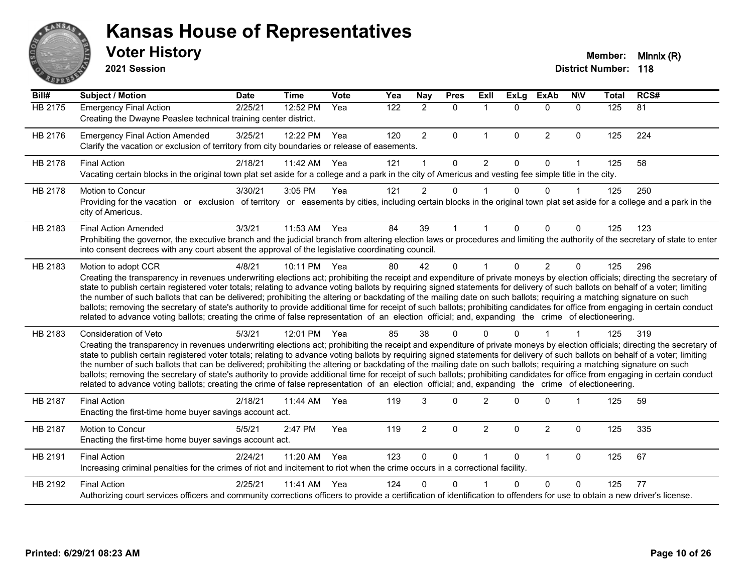

**2021 Session**

| Bill#          | <b>Subject / Motion</b>                                                                                                                                                                                                                                                                                                                                                                                                                                                                                                                                                                                                                                                                                                                                                                                                                                                                                           | <b>Date</b> | <b>Time</b> | <b>Vote</b> | Yea | Nay            | <b>Pres</b> | ExII                 | <b>ExLg</b> | <b>ExAb</b>    | <b>NIV</b>  | <b>Total</b> | RCS# |
|----------------|-------------------------------------------------------------------------------------------------------------------------------------------------------------------------------------------------------------------------------------------------------------------------------------------------------------------------------------------------------------------------------------------------------------------------------------------------------------------------------------------------------------------------------------------------------------------------------------------------------------------------------------------------------------------------------------------------------------------------------------------------------------------------------------------------------------------------------------------------------------------------------------------------------------------|-------------|-------------|-------------|-----|----------------|-------------|----------------------|-------------|----------------|-------------|--------------|------|
| <b>HB 2175</b> | <b>Emergency Final Action</b><br>Creating the Dwayne Peaslee technical training center district.                                                                                                                                                                                                                                                                                                                                                                                                                                                                                                                                                                                                                                                                                                                                                                                                                  | 2/25/21     | 12:52 PM    | Yea         | 122 | $\overline{2}$ | $\Omega$    | $\blacktriangleleft$ | $\Omega$    | $\Omega$       | $\Omega$    | 125          | 81   |
| HB 2176        | <b>Emergency Final Action Amended</b><br>Clarify the vacation or exclusion of territory from city boundaries or release of easements.                                                                                                                                                                                                                                                                                                                                                                                                                                                                                                                                                                                                                                                                                                                                                                             | 3/25/21     | 12:22 PM    | Yea         | 120 | $\overline{2}$ | 0           | $\mathbf{1}$         | $\mathbf 0$ | $\overline{2}$ | $\mathbf 0$ | 125          | 224  |
| HB 2178        | <b>Final Action</b><br>Vacating certain blocks in the original town plat set aside for a college and a park in the city of Americus and vesting fee simple title in the city.                                                                                                                                                                                                                                                                                                                                                                                                                                                                                                                                                                                                                                                                                                                                     | 2/18/21     | 11:42 AM    | Yea         | 121 |                | $\Omega$    | $\overline{2}$       | $\Omega$    | 0              | 1           | 125          | 58   |
| HB 2178        | <b>Motion to Concur</b><br>Providing for the vacation or exclusion of territory or easements by cities, including certain blocks in the original town plat set aside for a college and a park in the<br>city of Americus.                                                                                                                                                                                                                                                                                                                                                                                                                                                                                                                                                                                                                                                                                         | 3/30/21     | 3:05 PM     | Yea         | 121 | $\overline{c}$ | $\mathbf 0$ |                      | $\Omega$    | 0              |             | 125          | 250  |
| HB 2183        | <b>Final Action Amended</b><br>Prohibiting the governor, the executive branch and the judicial branch from altering election laws or procedures and limiting the authority of the secretary of state to enter<br>into consent decrees with any court absent the approval of the legislative coordinating council.                                                                                                                                                                                                                                                                                                                                                                                                                                                                                                                                                                                                 | 3/3/21      | 11:53 AM    | Yea         | 84  | 39             | 1           |                      | $\Omega$    | $\Omega$       | $\Omega$    | 125          | 123  |
| HB 2183        | Motion to adopt CCR<br>Creating the transparency in revenues underwriting elections act; prohibiting the receipt and expenditure of private moneys by election officials; directing the secretary of<br>state to publish certain registered voter totals; relating to advance voting ballots by requiring signed statements for delivery of such ballots on behalf of a voter; limiting<br>the number of such ballots that can be delivered; prohibiting the altering or backdating of the mailing date on such ballots; requiring a matching signature on such<br>ballots; removing the secretary of state's authority to provide additional time for receipt of such ballots; prohibiting candidates for office from engaging in certain conduct<br>related to advance voting ballots; creating the crime of false representation of an election official; and, expanding the crime of electioneering.          | 4/8/21      | 10:11 PM    | Yea         | 80  | 42             | $\Omega$    |                      | $\Omega$    | $\overline{2}$ | $\Omega$    | 125          | 296  |
| HB 2183        | <b>Consideration of Veto</b><br>Creating the transparency in revenues underwriting elections act; prohibiting the receipt and expenditure of private moneys by election officials; directing the secretary of<br>state to publish certain registered voter totals; relating to advance voting ballots by requiring signed statements for delivery of such ballots on behalf of a voter; limiting<br>the number of such ballots that can be delivered; prohibiting the altering or backdating of the mailing date on such ballots; requiring a matching signature on such<br>ballots; removing the secretary of state's authority to provide additional time for receipt of such ballots; prohibiting candidates for office from engaging in certain conduct<br>related to advance voting ballots; creating the crime of false representation of an election official; and, expanding the crime of electioneering. | 5/3/21      | 12:01 PM    | Yea         | 85  | 38             | 0           |                      |             |                |             | 125          | 319  |
| HB 2187        | <b>Final Action</b><br>Enacting the first-time home buyer savings account act.                                                                                                                                                                                                                                                                                                                                                                                                                                                                                                                                                                                                                                                                                                                                                                                                                                    | 2/18/21     | 11:44 AM    | Yea         | 119 | 3              | $\Omega$    | $\mathfrak{p}$       | $\Omega$    | $\Omega$       |             | 125          | 59   |
| HB 2187        | Motion to Concur<br>Enacting the first-time home buyer savings account act.                                                                                                                                                                                                                                                                                                                                                                                                                                                                                                                                                                                                                                                                                                                                                                                                                                       | 5/5/21      | 2:47 PM     | Yea         | 119 | $\overline{a}$ | 0           | $\overline{2}$       | $\Omega$    | $\overline{2}$ | $\mathbf 0$ | 125          | 335  |
| HB 2191        | <b>Final Action</b><br>Increasing criminal penalties for the crimes of riot and incitement to riot when the crime occurs in a correctional facility.                                                                                                                                                                                                                                                                                                                                                                                                                                                                                                                                                                                                                                                                                                                                                              | 2/24/21     | 11:20 AM    | Yea         | 123 | 0              | $\mathbf 0$ |                      | $\Omega$    | $\mathbf{1}$   | $\mathbf 0$ | 125          | 67   |
| HB 2192        | <b>Final Action</b><br>Authorizing court services officers and community corrections officers to provide a certification of identification to offenders for use to obtain a new driver's license.                                                                                                                                                                                                                                                                                                                                                                                                                                                                                                                                                                                                                                                                                                                 | 2/25/21     | 11:41 AM    | Yea         | 124 | n              | ∩           |                      | 0           | $\Omega$       | 0           | 125          | 77   |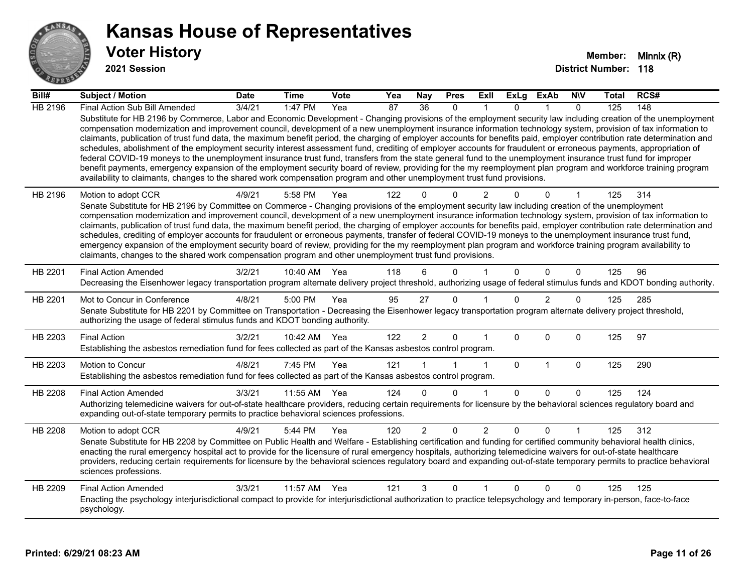

**2021 Session**

| Bill#          | <b>Subject / Motion</b>                                                                                                                                                                                                                                                                                                                                                                                                                                                                                                                                                                                                                                                                                                                                                                                                                                                                                                                                                                                                                                                                                                                           | <b>Date</b> | <b>Time</b>  | <b>Vote</b> | Yea             | Nay             | <b>Pres</b> | ExII           | ExLg         | ExAb           | <b>NIV</b> | <b>Total</b> | RCS# |
|----------------|---------------------------------------------------------------------------------------------------------------------------------------------------------------------------------------------------------------------------------------------------------------------------------------------------------------------------------------------------------------------------------------------------------------------------------------------------------------------------------------------------------------------------------------------------------------------------------------------------------------------------------------------------------------------------------------------------------------------------------------------------------------------------------------------------------------------------------------------------------------------------------------------------------------------------------------------------------------------------------------------------------------------------------------------------------------------------------------------------------------------------------------------------|-------------|--------------|-------------|-----------------|-----------------|-------------|----------------|--------------|----------------|------------|--------------|------|
| <b>HB 2196</b> | Final Action Sub Bill Amended                                                                                                                                                                                                                                                                                                                                                                                                                                                                                                                                                                                                                                                                                                                                                                                                                                                                                                                                                                                                                                                                                                                     | 3/4/21      | 1:47 PM      | Yea         | $\overline{87}$ | $\overline{36}$ | $\Omega$    |                | $\Omega$     |                | $\Omega$   | 125          | 148  |
|                | Substitute for HB 2196 by Commerce, Labor and Economic Development - Changing provisions of the employment security law including creation of the unemployment<br>compensation modernization and improvement council, development of a new unemployment insurance information technology system, provision of tax information to<br>claimants, publication of trust fund data, the maximum benefit period, the charging of employer accounts for benefits paid, employer contribution rate determination and<br>schedules, abolishment of the employment security interest assessment fund, crediting of employer accounts for fraudulent or erroneous payments, appropriation of<br>federal COVID-19 moneys to the unemployment insurance trust fund, transfers from the state general fund to the unemployment insurance trust fund for improper<br>benefit payments, emergency expansion of the employment security board of review, providing for the my reemployment plan program and workforce training program<br>availability to claimants, changes to the shared work compensation program and other unemployment trust fund provisions. |             |              |             |                 |                 |             |                |              |                |            |              |      |
| HB 2196        | Motion to adopt CCR<br>Senate Substitute for HB 2196 by Committee on Commerce - Changing provisions of the employment security law including creation of the unemployment<br>compensation modernization and improvement council, development of a new unemployment insurance information technology system, provision of tax information to<br>claimants, publication of trust fund data, the maximum benefit period, the charging of employer accounts for benefits paid, employer contribution rate determination and<br>schedules, crediting of employer accounts for fraudulent or erroneous payments, transfer of federal COVID-19 moneys to the unemployment insurance trust fund,<br>emergency expansion of the employment security board of review, providing for the my reemployment plan program and workforce training program availability to<br>claimants, changes to the shared work compensation program and other unemployment trust fund provisions.                                                                                                                                                                             | 4/9/21      | 5:58 PM      | Yea         | 122             |                 | $\Omega$    | 2              |              | $\Omega$       | 1          | 125          | 314  |
| HB 2201        | <b>Final Action Amended</b><br>Decreasing the Eisenhower legacy transportation program alternate delivery project threshold, authorizing usage of federal stimulus funds and KDOT bonding authority.                                                                                                                                                                                                                                                                                                                                                                                                                                                                                                                                                                                                                                                                                                                                                                                                                                                                                                                                              | 3/2/21      | 10:40 AM Yea |             | 118             |                 | $\Omega$    |                | $\Omega$     | $\Omega$       | $\Omega$   | 125          | 96   |
| HB 2201        | Mot to Concur in Conference<br>Senate Substitute for HB 2201 by Committee on Transportation - Decreasing the Eisenhower legacy transportation program alternate delivery project threshold,<br>authorizing the usage of federal stimulus funds and KDOT bonding authority.                                                                                                                                                                                                                                                                                                                                                                                                                                                                                                                                                                                                                                                                                                                                                                                                                                                                        | 4/8/21      | 5:00 PM      | Yea         | 95              | 27              | $\Omega$    |                | $\Omega$     | $\overline{2}$ | $\Omega$   | 125          | 285  |
| HB 2203        | <b>Final Action</b><br>Establishing the asbestos remediation fund for fees collected as part of the Kansas asbestos control program.                                                                                                                                                                                                                                                                                                                                                                                                                                                                                                                                                                                                                                                                                                                                                                                                                                                                                                                                                                                                              | 3/2/21      | 10:42 AM Yea |             | 122             | $\overline{2}$  | 0           |                | $\Omega$     | $\Omega$       | 0          | 125          | 97   |
| HB 2203        | Motion to Concur<br>Establishing the asbestos remediation fund for fees collected as part of the Kansas asbestos control program.                                                                                                                                                                                                                                                                                                                                                                                                                                                                                                                                                                                                                                                                                                                                                                                                                                                                                                                                                                                                                 | 4/8/21      | 7:45 PM      | Yea         | 121             |                 |             | $\mathbf{1}$   | 0            | 1              | 0          | 125          | 290  |
| HB 2208        | <b>Final Action Amended</b><br>Authorizing telemedicine waivers for out-of-state healthcare providers, reducing certain requirements for licensure by the behavioral sciences regulatory board and<br>expanding out-of-state temporary permits to practice behavioral sciences professions.                                                                                                                                                                                                                                                                                                                                                                                                                                                                                                                                                                                                                                                                                                                                                                                                                                                       | 3/3/21      | 11:55 AM     | Yea         | 124             | <sup>n</sup>    | $\Omega$    |                | $\Omega$     | $\Omega$       | $\Omega$   | 125          | 124  |
| HB 2208        | Motion to adopt CCR<br>Senate Substitute for HB 2208 by Committee on Public Health and Welfare - Establishing certification and funding for certified community behavioral health clinics,<br>enacting the rural emergency hospital act to provide for the licensure of rural emergency hospitals, authorizing telemedicine waivers for out-of-state healthcare<br>providers, reducing certain requirements for licensure by the behavioral sciences regulatory board and expanding out-of-state temporary permits to practice behavioral<br>sciences professions.                                                                                                                                                                                                                                                                                                                                                                                                                                                                                                                                                                                | 4/9/21      | 5:44 PM      | Yea         | 120             | $\overline{2}$  | $\Omega$    | $\overline{2}$ | $\mathbf{0}$ | $\Omega$       |            | 125          | 312  |
| HB 2209        | <b>Final Action Amended</b><br>Enacting the psychology interjurisdictional compact to provide for interjurisdictional authorization to practice telepsychology and temporary in-person, face-to-face<br>psychology.                                                                                                                                                                                                                                                                                                                                                                                                                                                                                                                                                                                                                                                                                                                                                                                                                                                                                                                               | 3/3/21      | 11:57 AM     | Yea         | 121             | 3               | 0           |                | $\mathbf{0}$ | $\Omega$       | 0          | 125          | 125  |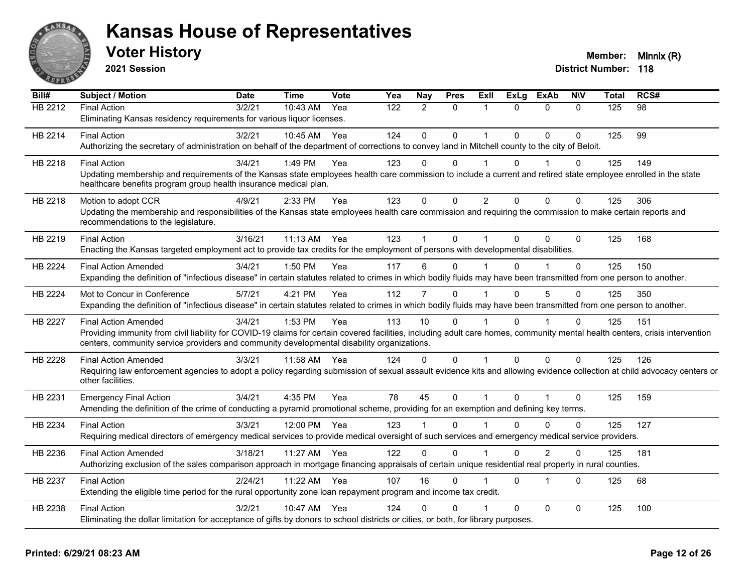

**2021 Session**

| Bill#          | <b>Subject / Motion</b>                                                                                                                                                      | <b>Date</b> | <b>Time</b>  | <b>Vote</b> | Yea | Nay            | <b>Pres</b>  | Exll           | <b>ExLg</b> | <b>ExAb</b>    | <b>NIV</b>   | Total | RCS# |
|----------------|------------------------------------------------------------------------------------------------------------------------------------------------------------------------------|-------------|--------------|-------------|-----|----------------|--------------|----------------|-------------|----------------|--------------|-------|------|
| HB 2212        | <b>Final Action</b>                                                                                                                                                          | 3/2/21      | 10:43 AM     | Yea         | 122 | $\overline{2}$ | $\mathbf{0}$ | 1              | $\Omega$    | $\Omega$       | $\Omega$     | 125   | 98   |
|                | Eliminating Kansas residency requirements for various liquor licenses.                                                                                                       |             |              |             |     |                |              |                |             |                |              |       |      |
| HB 2214        | <b>Final Action</b>                                                                                                                                                          | 3/2/21      | 10:45 AM     | Yea         | 124 | $\mathbf 0$    | $\mathbf 0$  | 1              | $\Omega$    | $\Omega$       | $\Omega$     | 125   | 99   |
|                | Authorizing the secretary of administration on behalf of the department of corrections to convey land in Mitchell county to the city of Beloit.                              |             |              |             |     |                |              |                |             |                |              |       |      |
| HB 2218        | <b>Final Action</b>                                                                                                                                                          | 3/4/21      | 1:49 PM      | Yea         | 123 | $\Omega$       | $\Omega$     |                | $\Omega$    |                | 0            | 125   | 149  |
|                | Updating membership and requirements of the Kansas state employees health care commission to include a current and retired state employee enrolled in the state              |             |              |             |     |                |              |                |             |                |              |       |      |
|                | healthcare benefits program group health insurance medical plan.                                                                                                             |             |              |             |     |                |              |                |             |                |              |       |      |
| HB 2218        | Motion to adopt CCR                                                                                                                                                          | 4/9/21      | 2:33 PM      | Yea         | 123 | $\mathbf 0$    | $\mathbf 0$  | $\overline{2}$ | $\Omega$    | $\Omega$       | $\mathbf 0$  | 125   | 306  |
|                | Updating the membership and responsibilities of the Kansas state employees health care commission and requiring the commission to make certain reports and                   |             |              |             |     |                |              |                |             |                |              |       |      |
|                | recommendations to the legislature.                                                                                                                                          |             |              |             |     |                |              |                |             |                |              |       |      |
| HB 2219        | <b>Final Action</b>                                                                                                                                                          | 3/16/21     | 11:13 AM Yea |             | 123 |                | $\mathbf 0$  |                | $\Omega$    | $\Omega$       | $\Omega$     | 125   | 168  |
|                | Enacting the Kansas targeted employment act to provide tax credits for the employment of persons with developmental disabilities.                                            |             |              |             |     |                |              |                |             |                |              |       |      |
| <b>HB 2224</b> | <b>Final Action Amended</b>                                                                                                                                                  | 3/4/21      | 1:50 PM      | Yea         | 117 | 6              | $\Omega$     |                | U           |                | $\Omega$     | 125   | 150  |
|                | Expanding the definition of "infectious disease" in certain statutes related to crimes in which bodily fluids may have been transmitted from one person to another.          |             |              |             |     |                |              |                |             |                |              |       |      |
| HB 2224        | Mot to Concur in Conference                                                                                                                                                  | 5/7/21      | 4:21 PM      | Yea         | 112 | $\overline{7}$ | $\Omega$     |                | $\Omega$    | 5              | $\Omega$     | 125   | 350  |
|                | Expanding the definition of "infectious disease" in certain statutes related to crimes in which bodily fluids may have been transmitted from one person to another.          |             |              |             |     |                |              |                |             |                |              |       |      |
| <b>HB 2227</b> | <b>Final Action Amended</b>                                                                                                                                                  | 3/4/21      | 1:53 PM      | Yea         | 113 | 10             | $\Omega$     |                | $\Omega$    |                | $\mathbf{0}$ | 125   | 151  |
|                | Providing immunity from civil liability for COVID-19 claims for certain covered facilities, including adult care homes, community mental health centers, crisis intervention |             |              |             |     |                |              |                |             |                |              |       |      |
|                | centers, community service providers and community developmental disability organizations.                                                                                   |             |              |             |     |                |              |                |             |                |              |       |      |
| <b>HB 2228</b> | <b>Final Action Amended</b>                                                                                                                                                  | 3/3/21      | 11:58 AM     | Yea         | 124 | $\Omega$       | $\mathbf{0}$ |                | $\Omega$    | $\mathbf 0$    | $\Omega$     | 125   | 126  |
|                | Requiring law enforcement agencies to adopt a policy regarding submission of sexual assault evidence kits and allowing evidence collection at child advocacy centers or      |             |              |             |     |                |              |                |             |                |              |       |      |
|                | other facilities.                                                                                                                                                            |             |              |             |     |                |              |                |             |                |              |       |      |
| HB 2231        | <b>Emergency Final Action</b>                                                                                                                                                | 3/4/21      | 4:35 PM      | Yea         | 78  | 45             | $\mathbf 0$  | 1              | $\Omega$    |                | $\Omega$     | 125   | 159  |
|                | Amending the definition of the crime of conducting a pyramid promotional scheme, providing for an exemption and defining key terms.                                          |             |              |             |     |                |              |                |             |                |              |       |      |
| HB 2234        | <b>Final Action</b>                                                                                                                                                          | 3/3/21      | 12:00 PM     | Yea         | 123 |                | $\Omega$     |                | $\Omega$    | $\Omega$       | $\Omega$     | 125   | 127  |
|                | Requiring medical directors of emergency medical services to provide medical oversight of such services and emergency medical service providers.                             |             |              |             |     |                |              |                |             |                |              |       |      |
| HB 2236        | <b>Final Action Amended</b>                                                                                                                                                  | 3/18/21     | 11:27 AM     | Yea         | 122 | $\Omega$       | $\Omega$     |                | $\Omega$    | $\overline{2}$ | 0            | 125   | 181  |
|                | Authorizing exclusion of the sales comparison approach in mortgage financing appraisals of certain unique residential real property in rural counties.                       |             |              |             |     |                |              |                |             |                |              |       |      |
|                |                                                                                                                                                                              |             |              |             |     |                |              |                |             |                |              |       |      |
| HB 2237        | <b>Final Action</b>                                                                                                                                                          | 2/24/21     | 11:22 AM     | Yea         | 107 | 16             | $\mathbf 0$  |                | $\Omega$    | 1              | $\Omega$     | 125   | 68   |
|                | Extending the eligible time period for the rural opportunity zone loan repayment program and income tax credit.                                                              |             |              |             |     |                |              |                |             |                |              |       |      |
| HB 2238        | <b>Final Action</b>                                                                                                                                                          | 3/2/21      | 10:47 AM     | Yea         | 124 | U              | 0            |                | $\Omega$    | $\mathbf{0}$   | $\Omega$     | 125   | 100  |
|                | Eliminating the dollar limitation for acceptance of gifts by donors to school districts or cities, or both, for library purposes.                                            |             |              |             |     |                |              |                |             |                |              |       |      |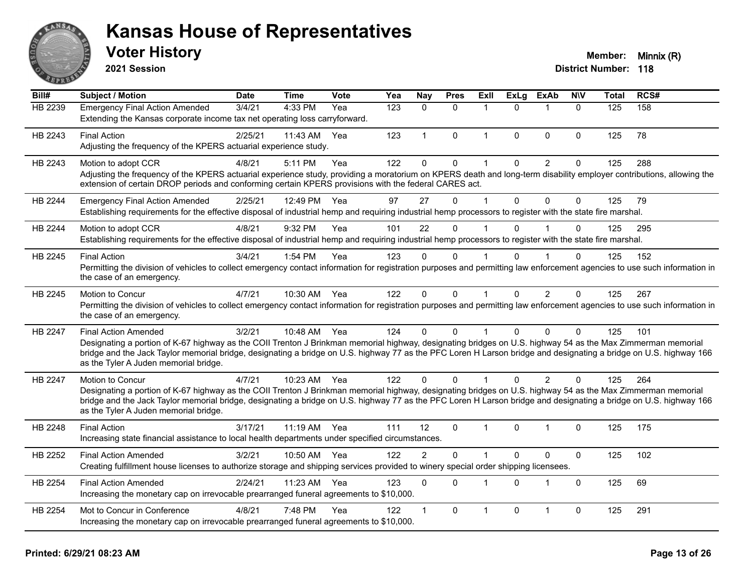

**2021 Session**

| Bill#   | <b>Subject / Motion</b>                                                                                                                                                                                                                                                                                                                                                                                  | <b>Date</b> | <b>Time</b>  | <b>Vote</b> | $\overline{Y}$ ea | Nay            | <b>Pres</b>  | Exll         | <b>ExLg</b> | <b>ExAb</b>    | <b>NIV</b>   | <b>Total</b> | RCS# |
|---------|----------------------------------------------------------------------------------------------------------------------------------------------------------------------------------------------------------------------------------------------------------------------------------------------------------------------------------------------------------------------------------------------------------|-------------|--------------|-------------|-------------------|----------------|--------------|--------------|-------------|----------------|--------------|--------------|------|
| HB 2239 | <b>Emergency Final Action Amended</b><br>Extending the Kansas corporate income tax net operating loss carryforward.                                                                                                                                                                                                                                                                                      | 3/4/21      | 4:33 PM      | Yea         | 123               | $\Omega$       | $\mathbf{0}$ | -1           | $\Omega$    |                | $\mathbf{0}$ | 125          | 158  |
| HB 2243 | <b>Final Action</b><br>Adjusting the frequency of the KPERS actuarial experience study.                                                                                                                                                                                                                                                                                                                  | 2/25/21     | 11:43 AM     | Yea         | 123               | $\mathbf{1}$   | $\mathbf{0}$ | $\mathbf{1}$ | $\Omega$    | $\mathbf{0}$   | $\mathbf{0}$ | 125          | 78   |
| HB 2243 | Motion to adopt CCR<br>Adjusting the frequency of the KPERS actuarial experience study, providing a moratorium on KPERS death and long-term disability employer contributions, allowing the<br>extension of certain DROP periods and conforming certain KPERS provisions with the federal CARES act.                                                                                                     | 4/8/21      | 5:11 PM      | Yea         | 122               | 0              | $\mathbf 0$  | 1            | $\Omega$    | $\overline{2}$ | 0            | 125          | 288  |
| HB 2244 | <b>Emergency Final Action Amended</b><br>Establishing requirements for the effective disposal of industrial hemp and requiring industrial hemp processors to register with the state fire marshal.                                                                                                                                                                                                       | 2/25/21     | 12:49 PM     | Yea         | 97                | 27             | $\Omega$     | 1            | $\Omega$    | $\Omega$       | $\mathbf{0}$ | 125          | 79   |
| HB 2244 | Motion to adopt CCR<br>Establishing requirements for the effective disposal of industrial hemp and requiring industrial hemp processors to register with the state fire marshal.                                                                                                                                                                                                                         | 4/8/21      | 9:32 PM      | Yea         | 101               | 22             | $\Omega$     |              | $\Omega$    |                | $\Omega$     | 125          | 295  |
| HB 2245 | <b>Final Action</b><br>Permitting the division of vehicles to collect emergency contact information for registration purposes and permitting law enforcement agencies to use such information in<br>the case of an emergency.                                                                                                                                                                            | 3/4/21      | 1:54 PM      | Yea         | 123               | $\Omega$       | 0            |              |             |                | $\Omega$     | 125          | 152  |
| HB 2245 | Motion to Concur<br>Permitting the division of vehicles to collect emergency contact information for registration purposes and permitting law enforcement agencies to use such information in<br>the case of an emergency.                                                                                                                                                                               | 4/7/21      | 10:30 AM     | Yea         | 122               | $\Omega$       | $\mathbf 0$  | $\mathbf{1}$ | $\Omega$    | 2              | $\Omega$     | 125          | 267  |
| HB 2247 | <b>Final Action Amended</b><br>Designating a portion of K-67 highway as the COII Trenton J Brinkman memorial highway, designating bridges on U.S. highway 54 as the Max Zimmerman memorial<br>bridge and the Jack Taylor memorial bridge, designating a bridge on U.S. highway 77 as the PFC Loren H Larson bridge and designating a bridge on U.S. highway 166<br>as the Tyler A Juden memorial bridge. | 3/2/21      | 10:48 AM Yea |             | 124               | $\Omega$       | $\mathbf{0}$ |              | $\Omega$    | $\mathbf{0}$   | $\Omega$     | 125          | 101  |
| HB 2247 | <b>Motion to Concur</b><br>Designating a portion of K-67 highway as the COII Trenton J Brinkman memorial highway, designating bridges on U.S. highway 54 as the Max Zimmerman memorial<br>bridge and the Jack Taylor memorial bridge, designating a bridge on U.S. highway 77 as the PFC Loren H Larson bridge and designating a bridge on U.S. highway 166<br>as the Tyler A Juden memorial bridge.     | 4/7/21      | 10:23 AM     | Yea         | 122               | $\Omega$       | $\Omega$     |              | $\Omega$    | $\mathcal{P}$  | $\Omega$     | 125          | 264  |
| HB 2248 | <b>Final Action</b><br>Increasing state financial assistance to local health departments under specified circumstances.                                                                                                                                                                                                                                                                                  | 3/17/21     | 11:19 AM     | Yea         | 111               | 12             | $\mathbf{0}$ | 1            | $\Omega$    | $\mathbf{1}$   | $\Omega$     | 125          | 175  |
| HB 2252 | <b>Final Action Amended</b><br>Creating fulfillment house licenses to authorize storage and shipping services provided to winery special order shipping licensees.                                                                                                                                                                                                                                       | 3/2/21      | 10:50 AM     | Yea         | 122               | $\overline{2}$ | $\mathbf 0$  | 1            | $\Omega$    | $\mathbf 0$    | $\pmb{0}$    | 125          | 102  |
| HB 2254 | <b>Final Action Amended</b><br>Increasing the monetary cap on irrevocable prearranged funeral agreements to \$10,000.                                                                                                                                                                                                                                                                                    | 2/24/21     | 11:23 AM     | Yea         | 123               | $\Omega$       | $\mathbf{0}$ | 1            | $\Omega$    | $\overline{1}$ | $\mathbf{0}$ | 125          | 69   |
| HB 2254 | Mot to Concur in Conference<br>Increasing the monetary cap on irrevocable prearranged funeral agreements to \$10,000.                                                                                                                                                                                                                                                                                    | 4/8/21      | 7:48 PM      | Yea         | 122               |                | $\mathbf 0$  | 1            | 0           |                | $\mathbf 0$  | 125          | 291  |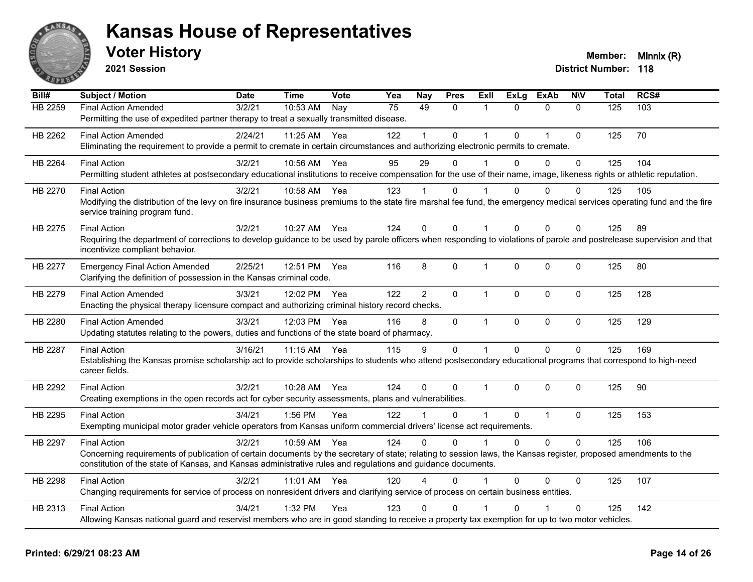

**2021 Session**

| Bill#          | <b>Subject / Motion</b>                                                                                                                                                   | <b>Date</b> | <b>Time</b> | Vote | Yea | <b>Nay</b> | <b>Pres</b>  | <b>Exll</b>  | <b>ExLg</b>  | <b>ExAb</b>    | <b>NIV</b>   | <b>Total</b> | RCS# |
|----------------|---------------------------------------------------------------------------------------------------------------------------------------------------------------------------|-------------|-------------|------|-----|------------|--------------|--------------|--------------|----------------|--------------|--------------|------|
| <b>HB 2259</b> | <b>Final Action Amended</b>                                                                                                                                               | 3/2/21      | $10:53$ AM  | Nay  | 75  | 49         | $\Omega$     | 1            | $\Omega$     | $\mathbf{0}$   | $\mathbf{0}$ | 125          | 103  |
|                | Permitting the use of expedited partner therapy to treat a sexually transmitted disease.                                                                                  |             |             |      |     |            |              |              |              |                |              |              |      |
| HB 2262        | <b>Final Action Amended</b>                                                                                                                                               | 2/24/21     | 11:25 AM    | Yea  | 122 |            | $\Omega$     | 1            | $\Omega$     | $\overline{1}$ | $\mathbf{0}$ | 125          | 70   |
|                | Eliminating the requirement to provide a permit to cremate in certain circumstances and authorizing electronic permits to cremate.                                        |             |             |      |     |            |              |              |              |                |              |              |      |
| HB 2264        | <b>Final Action</b>                                                                                                                                                       | 3/2/21      | 10:56 AM    | Yea  | 95  | 29         | $\Omega$     | 1            | $\Omega$     | $\mathbf{0}$   | $\Omega$     | 125          | 104  |
|                | Permitting student athletes at postsecondary educational institutions to receive compensation for the use of their name, image, likeness rights or athletic reputation.   |             |             |      |     |            |              |              |              |                |              |              |      |
| HB 2270        | <b>Final Action</b>                                                                                                                                                       | 3/2/21      | 10:58 AM    | Yea  | 123 |            | 0            |              | 0            | 0              | 0            | 125          | 105  |
|                | Modifying the distribution of the levy on fire insurance business premiums to the state fire marshal fee fund, the emergency medical services operating fund and the fire |             |             |      |     |            |              |              |              |                |              |              |      |
|                | service training program fund.                                                                                                                                            |             |             |      |     |            |              |              |              |                |              |              |      |
| HB 2275        | <b>Final Action</b>                                                                                                                                                       | 3/2/21      | 10:27 AM    | Yea  | 124 | $\Omega$   | $\Omega$     | 1            | 0            | $\Omega$       | $\Omega$     | 125          | 89   |
|                | Requiring the department of corrections to develop guidance to be used by parole officers when responding to violations of parole and postrelease supervision and that    |             |             |      |     |            |              |              |              |                |              |              |      |
|                | incentivize compliant behavior.                                                                                                                                           |             |             |      |     |            |              |              |              |                |              |              |      |
| <b>HB 2277</b> | <b>Emergency Final Action Amended</b>                                                                                                                                     | 2/25/21     | 12:51 PM    | Yea  | 116 | 8          | 0            | 1            | $\mathbf 0$  | $\mathbf 0$    | 0            | 125          | 80   |
|                | Clarifying the definition of possession in the Kansas criminal code.                                                                                                      |             |             |      |     |            |              |              |              |                |              |              |      |
| HB 2279        | <b>Final Action Amended</b>                                                                                                                                               | 3/3/21      | 12:02 PM    | Yea  | 122 | 2          | $\Omega$     | $\mathbf{1}$ | $\mathbf{0}$ | $\mathbf{0}$   | $\Omega$     | 125          | 128  |
|                | Enacting the physical therapy licensure compact and authorizing criminal history record checks.                                                                           |             |             |      |     |            |              |              |              |                |              |              |      |
| HB 2280        | <b>Final Action Amended</b>                                                                                                                                               | 3/3/21      | 12:03 PM    | Yea  | 116 | 8          | 0            | $\mathbf{1}$ | $\mathbf 0$  | $\mathbf 0$    | $\mathbf 0$  | 125          | 129  |
|                | Updating statutes relating to the powers, duties and functions of the state board of pharmacy.                                                                            |             |             |      |     |            |              |              |              |                |              |              |      |
| HB 2287        | <b>Final Action</b>                                                                                                                                                       | 3/16/21     | 11:15 AM    | Yea  | 115 | 9          | $\mathbf 0$  | $\mathbf{1}$ | $\mathbf 0$  | $\mathbf 0$    | $\mathbf 0$  | 125          | 169  |
|                | Establishing the Kansas promise scholarship act to provide scholarships to students who attend postsecondary educational programs that correspond to high-need            |             |             |      |     |            |              |              |              |                |              |              |      |
|                | career fields.                                                                                                                                                            |             |             |      |     |            |              |              |              |                |              |              |      |
| HB 2292        | <b>Final Action</b>                                                                                                                                                       | 3/2/21      | 10:28 AM    | Yea  | 124 | $\Omega$   | $\mathbf{0}$ | $\mathbf 1$  | $\Omega$     | $\mathbf{0}$   | $\Omega$     | 125          | 90   |
|                | Creating exemptions in the open records act for cyber security assessments, plans and vulnerabilities.                                                                    |             |             |      |     |            |              |              |              |                |              |              |      |
| HB 2295        | <b>Final Action</b>                                                                                                                                                       | 3/4/21      | 1:56 PM     | Yea  | 122 |            | 0            | 1            | $\Omega$     | $\overline{1}$ | $\mathbf 0$  | 125          | 153  |
|                | Exempting municipal motor grader vehicle operators from Kansas uniform commercial drivers' license act requirements.                                                      |             |             |      |     |            |              |              |              |                |              |              |      |
| HB 2297        | <b>Final Action</b>                                                                                                                                                       | 3/2/21      | 10:59 AM    | Yea  | 124 | $\Omega$   | $\Omega$     | 1            | $\Omega$     | $\Omega$       | $\Omega$     | 125          | 106  |
|                | Concerning requirements of publication of certain documents by the secretary of state; relating to session laws, the Kansas register, proposed amendments to the          |             |             |      |     |            |              |              |              |                |              |              |      |
|                | constitution of the state of Kansas, and Kansas administrative rules and regulations and guidance documents.                                                              |             |             |      |     |            |              |              |              |                |              |              |      |
| HB 2298        | <b>Final Action</b>                                                                                                                                                       | 3/2/21      | 11:01 AM    | Yea  | 120 |            | $\Omega$     |              | $\Omega$     | 0              | $\Omega$     | 125          | 107  |
|                | Changing requirements for service of process on nonresident drivers and clarifying service of process on certain business entities.                                       |             |             |      |     |            |              |              |              |                |              |              |      |
| HB 2313        | <b>Final Action</b>                                                                                                                                                       | 3/4/21      | 1:32 PM     | Yea  | 123 | 0          | 0            |              | O            |                | $\mathbf 0$  | 125          | 142  |
|                | Allowing Kansas national guard and reservist members who are in good standing to receive a property tax exemption for up to two motor vehicles.                           |             |             |      |     |            |              |              |              |                |              |              |      |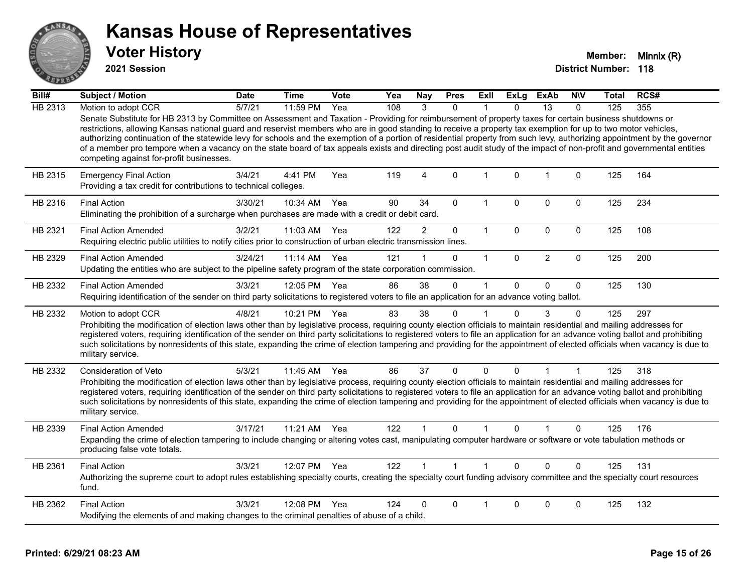

**2021 Session**

| Bill#   | Subject / Motion                                                                                                                                                                                                                                                                                                                                                                                                                                                                                                                                                                                                                                                                                                          | <b>Date</b> | <b>Time</b>  | Vote | Yea | <b>Nay</b>     | <b>Pres</b>  | ExII                 | <b>ExLg</b>  | ExAb           | <b>NIV</b>  | Total | RCS# |
|---------|---------------------------------------------------------------------------------------------------------------------------------------------------------------------------------------------------------------------------------------------------------------------------------------------------------------------------------------------------------------------------------------------------------------------------------------------------------------------------------------------------------------------------------------------------------------------------------------------------------------------------------------------------------------------------------------------------------------------------|-------------|--------------|------|-----|----------------|--------------|----------------------|--------------|----------------|-------------|-------|------|
| HB 2313 | Motion to adopt CCR                                                                                                                                                                                                                                                                                                                                                                                                                                                                                                                                                                                                                                                                                                       | 5/7/21      | $11:59$ PM   | Yea  | 108 | $\mathcal{R}$  | $\Omega$     |                      | $\Omega$     | 13             | $\Omega$    | 125   | 355  |
|         | Senate Substitute for HB 2313 by Committee on Assessment and Taxation - Providing for reimbursement of property taxes for certain business shutdowns or<br>restrictions, allowing Kansas national guard and reservist members who are in good standing to receive a property tax exemption for up to two motor vehicles,<br>authorizing continuation of the statewide levy for schools and the exemption of a portion of residential property from such levy, authorizing appointment by the governor<br>of a member pro tempore when a vacancy on the state board of tax appeals exists and directing post audit study of the impact of non-profit and governmental entities<br>competing against for-profit businesses. |             |              |      |     |                |              |                      |              |                |             |       |      |
| HB 2315 | <b>Emergency Final Action</b><br>Providing a tax credit for contributions to technical colleges.                                                                                                                                                                                                                                                                                                                                                                                                                                                                                                                                                                                                                          | 3/4/21      | 4:41 PM      | Yea  | 119 | $\overline{4}$ | $\Omega$     | 1                    | $\Omega$     | $\overline{1}$ | 0           | 125   | 164  |
| HB 2316 | <b>Final Action</b><br>Eliminating the prohibition of a surcharge when purchases are made with a credit or debit card.                                                                                                                                                                                                                                                                                                                                                                                                                                                                                                                                                                                                    | 3/30/21     | 10:34 AM     | Yea  | 90  | 34             | $\mathbf{0}$ | 1                    | $\Omega$     | $\Omega$       | $\Omega$    | 125   | 234  |
| HB 2321 | <b>Final Action Amended</b><br>Requiring electric public utilities to notify cities prior to construction of urban electric transmission lines.                                                                                                                                                                                                                                                                                                                                                                                                                                                                                                                                                                           | 3/2/21      | 11:03 AM     | Yea  | 122 | $\overline{2}$ | $\mathbf 0$  | $\mathbf{1}$         | 0            | $\mathbf 0$    | $\mathbf 0$ | 125   | 108  |
| HB 2329 | <b>Final Action Amended</b><br>Updating the entities who are subject to the pipeline safety program of the state corporation commission.                                                                                                                                                                                                                                                                                                                                                                                                                                                                                                                                                                                  | 3/24/21     | 11:14 AM     | Yea  | 121 |                | 0            | $\mathbf{1}$         | $\mathbf{0}$ | $\overline{2}$ | $\mathbf 0$ | 125   | 200  |
| HB 2332 | <b>Final Action Amended</b><br>Requiring identification of the sender on third party solicitations to registered voters to file an application for an advance voting ballot.                                                                                                                                                                                                                                                                                                                                                                                                                                                                                                                                              | 3/3/21      | 12:05 PM     | Yea  | 86  | 38             | $\mathbf{0}$ | $\mathbf 1$          | $\Omega$     | 0              | $\Omega$    | 125   | 130  |
| HB 2332 | Motion to adopt CCR<br>Prohibiting the modification of election laws other than by legislative process, requiring county election officials to maintain residential and mailing addresses for<br>registered voters, requiring identification of the sender on third party solicitations to registered voters to file an application for an advance voting ballot and prohibiting<br>such solicitations by nonresidents of this state, expanding the crime of election tampering and providing for the appointment of elected officials when vacancy is due to<br>military service.                                                                                                                                        | 4/8/21      | 10:21 PM     | Yea  | 83  | 38             | 0            |                      | $\Omega$     | 3              | $\Omega$    | 125   | 297  |
| HB 2332 | Consideration of Veto<br>Prohibiting the modification of election laws other than by legislative process, requiring county election officials to maintain residential and mailing addresses for<br>registered voters, requiring identification of the sender on third party solicitations to registered voters to file an application for an advance voting ballot and prohibiting<br>such solicitations by nonresidents of this state, expanding the crime of election tampering and providing for the appointment of elected officials when vacancy is due to<br>military service.                                                                                                                                      | 5/3/21      | 11:45 AM     | Yea  | 86  | 37             | $\Omega$     | $\mathbf{0}$         | $\Omega$     | 1              |             | 125   | 318  |
| HB 2339 | <b>Final Action Amended</b><br>Expanding the crime of election tampering to include changing or altering votes cast, manipulating computer hardware or software or vote tabulation methods or<br>producing false vote totals.                                                                                                                                                                                                                                                                                                                                                                                                                                                                                             | 3/17/21     | 11:21 AM     | Yea  | 122 |                | $\Omega$     | $\blacktriangleleft$ | $\Omega$     |                | 0           | 125   | 176  |
| HB 2361 | <b>Final Action</b><br>Authorizing the supreme court to adopt rules establishing specialty courts, creating the specialty court funding advisory committee and the specialty court resources<br>fund.                                                                                                                                                                                                                                                                                                                                                                                                                                                                                                                     | 3/3/21      | 12:07 PM Yea |      | 122 |                | $\mathbf{1}$ | 1                    | $\Omega$     | $\Omega$       | $\Omega$    | 125   | 131  |
| HB 2362 | <b>Final Action</b><br>Modifying the elements of and making changes to the criminal penalties of abuse of a child.                                                                                                                                                                                                                                                                                                                                                                                                                                                                                                                                                                                                        | 3/3/21      | 12:08 PM     | Yea  | 124 | 0              | 0            |                      | 0            | 0              | 0           | 125   | 132  |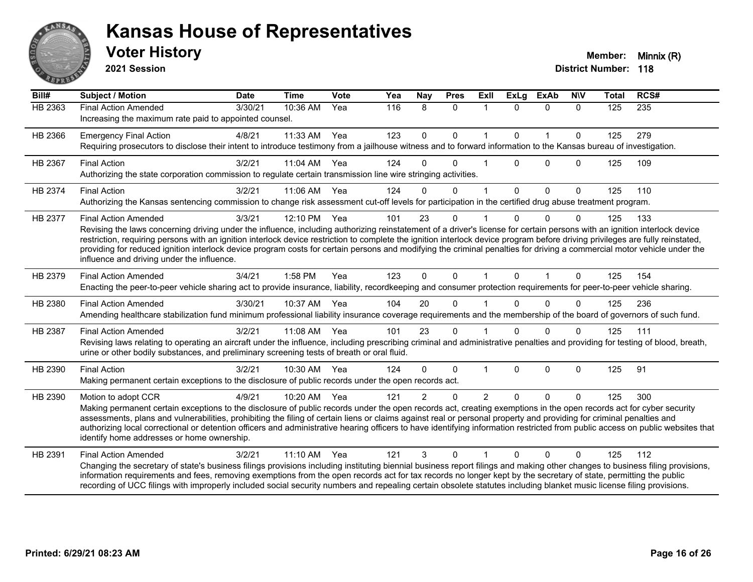

**2021 Session**

| Bill#          | <b>Subject / Motion</b>                                                                                                                                                                                                                                                                                                                                                                                                                                                                                                                                                                                             | <b>Date</b> | <b>Time</b> | <b>Vote</b> | Yea | Nay           | <b>Pres</b>  | <b>ExII</b>    | <b>ExLg</b>  | <b>ExAb</b>  | <b>NIV</b>   | <b>Total</b> | RCS# |
|----------------|---------------------------------------------------------------------------------------------------------------------------------------------------------------------------------------------------------------------------------------------------------------------------------------------------------------------------------------------------------------------------------------------------------------------------------------------------------------------------------------------------------------------------------------------------------------------------------------------------------------------|-------------|-------------|-------------|-----|---------------|--------------|----------------|--------------|--------------|--------------|--------------|------|
| <b>HB 2363</b> | <b>Final Action Amended</b><br>Increasing the maximum rate paid to appointed counsel.                                                                                                                                                                                                                                                                                                                                                                                                                                                                                                                               | 3/30/21     | 10:36 AM    | Yea         | 116 | 8             | $\Omega$     | $\mathbf 1$    | $\Omega$     | $\Omega$     | $\Omega$     | 125          | 235  |
| HB 2366        | <b>Emergency Final Action</b><br>Requiring prosecutors to disclose their intent to introduce testimony from a jailhouse witness and to forward information to the Kansas bureau of investigation.                                                                                                                                                                                                                                                                                                                                                                                                                   | 4/8/21      | 11:33 AM    | Yea         | 123 | $\mathbf 0$   | $\mathbf 0$  | $\mathbf{1}$   | $\mathbf{0}$ | $\mathbf{1}$ | $\mathbf{0}$ | 125          | 279  |
| HB 2367        | <b>Final Action</b><br>Authorizing the state corporation commission to regulate certain transmission line wire stringing activities.                                                                                                                                                                                                                                                                                                                                                                                                                                                                                | 3/2/21      | 11:04 AM    | Yea         | 124 | $\Omega$      | $\Omega$     |                | $\Omega$     | $\Omega$     | $\Omega$     | 125          | 109  |
| HB 2374        | <b>Final Action</b><br>Authorizing the Kansas sentencing commission to change risk assessment cut-off levels for participation in the certified drug abuse treatment program.                                                                                                                                                                                                                                                                                                                                                                                                                                       | 3/2/21      | 11:06 AM    | Yea         | 124 | $\Omega$      | $\mathbf{0}$ | $\overline{1}$ | $\mathbf{0}$ | $\mathbf 0$  | $\mathbf{0}$ | 125          | 110  |
| HB 2377        | <b>Final Action Amended</b><br>Revising the laws concerning driving under the influence, including authorizing reinstatement of a driver's license for certain persons with an ignition interlock device<br>restriction, requiring persons with an ignition interlock device restriction to complete the ignition interlock device program before driving privileges are fully reinstated,<br>providing for reduced ignition interlock device program costs for certain persons and modifying the criminal penalties for driving a commercial motor vehicle under the<br>influence and driving under the influence. | 3/3/21      | 12:10 PM    | Yea         | 101 | 23            | $\Omega$     |                |              | $\Omega$     | $\Omega$     | 125          | 133  |
| HB 2379        | <b>Final Action Amended</b><br>Enacting the peer-to-peer vehicle sharing act to provide insurance, liability, recordkeeping and consumer protection requirements for peer-to-peer vehicle sharing.                                                                                                                                                                                                                                                                                                                                                                                                                  | 3/4/21      | 1:58 PM     | Yea         | 123 | $\mathbf{0}$  | $\Omega$     | $\mathbf{1}$   | $\Omega$     | 1            | $\Omega$     | 125          | 154  |
| HB 2380        | <b>Final Action Amended</b><br>Amending healthcare stabilization fund minimum professional liability insurance coverage requirements and the membership of the board of governors of such fund.                                                                                                                                                                                                                                                                                                                                                                                                                     | 3/30/21     | 10:37 AM    | Yea         | 104 | 20            | $\Omega$     |                | $\Omega$     | $\Omega$     | $\Omega$     | 125          | 236  |
| HB 2387        | <b>Final Action Amended</b><br>Revising laws relating to operating an aircraft under the influence, including prescribing criminal and administrative penalties and providing for testing of blood, breath,<br>urine or other bodily substances, and preliminary screening tests of breath or oral fluid.                                                                                                                                                                                                                                                                                                           | 3/2/21      | 11:08 AM    | Yea         | 101 | 23            | $\mathbf{0}$ |                | $\Omega$     | $\Omega$     | $\Omega$     | 125          | 111  |
| HB 2390        | <b>Final Action</b><br>Making permanent certain exceptions to the disclosure of public records under the open records act.                                                                                                                                                                                                                                                                                                                                                                                                                                                                                          | 3/2/21      | 10:30 AM    | Yea         | 124 | $\Omega$      | $\Omega$     |                | $\Omega$     | $\Omega$     | $\mathbf{0}$ | 125          | 91   |
| HB 2390        | Motion to adopt CCR<br>Making permanent certain exceptions to the disclosure of public records under the open records act, creating exemptions in the open records act for cyber security<br>assessments, plans and vulnerabilities, prohibiting the filing of certain liens or claims against real or personal property and providing for criminal penalties and<br>authorizing local correctional or detention officers and administrative hearing officers to have identifying information restricted from public access on public websites that<br>identify home addresses or home ownership.                   | 4/9/21      | 10:20 AM    | Yea         | 121 | $\mathcal{P}$ | $\Omega$     | 2              | $\Omega$     | $\Omega$     | $\Omega$     | 125          | 300  |
| HB 2391        | <b>Final Action Amended</b><br>Changing the secretary of state's business filings provisions including instituting biennial business report filings and making other changes to business filing provisions,<br>information requirements and fees, removing exemptions from the open records act for tax records no longer kept by the secretary of state, permitting the public<br>recording of UCC filings with improperly included social security numbers and repealing certain obsolete statutes including blanket music license filing provisions.                                                             | 3/2/21      | 11:10 AM    | Yea         | 121 | 3             | $\Omega$     |                | $\Omega$     | $\Omega$     | $\Omega$     | 125          | 112  |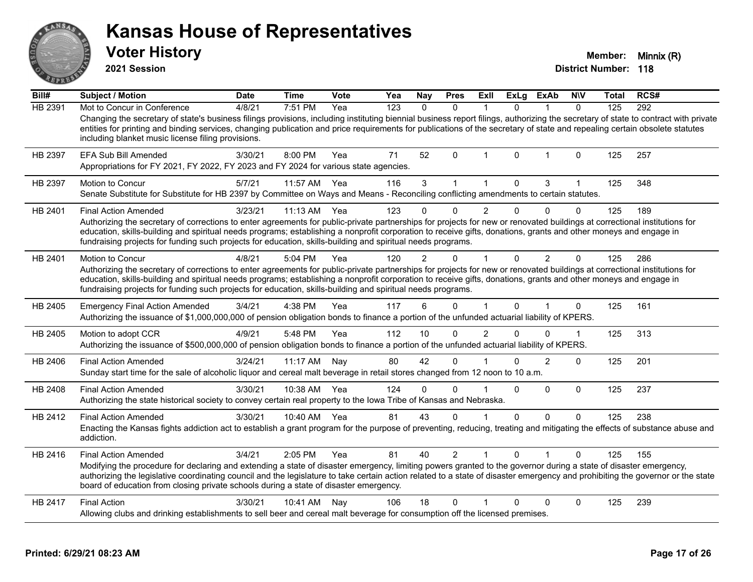**2021 Session**

**Voter History Member: Minnix (R)** 

| Bill#          | Subject / Motion                                                                                                                                                                                                                                                                                                                                                                                                                                                           | <b>Date</b> | <b>Time</b>  | <b>Vote</b> | Yea | <b>Nay</b> | <b>Pres</b>  | ExII           | ExLg     | ExAb          | <b>NIV</b>   | <b>Total</b> | RCS# |
|----------------|----------------------------------------------------------------------------------------------------------------------------------------------------------------------------------------------------------------------------------------------------------------------------------------------------------------------------------------------------------------------------------------------------------------------------------------------------------------------------|-------------|--------------|-------------|-----|------------|--------------|----------------|----------|---------------|--------------|--------------|------|
| <b>HB 2391</b> | Mot to Concur in Conference                                                                                                                                                                                                                                                                                                                                                                                                                                                | 4/8/21      | 7:51 PM      | Yea         | 123 | $\Omega$   | $\mathbf{0}$ |                | 0        |               | $\Omega$     | 125          | 292  |
|                | Changing the secretary of state's business filings provisions, including instituting biennial business report filings, authorizing the secretary of state to contract with private<br>entities for printing and binding services, changing publication and price requirements for publications of the secretary of state and repealing certain obsolete statutes<br>including blanket music license filing provisions.                                                     |             |              |             |     |            |              |                |          |               |              |              |      |
| HB 2397        | <b>EFA Sub Bill Amended</b><br>Appropriations for FY 2021, FY 2022, FY 2023 and FY 2024 for various state agencies.                                                                                                                                                                                                                                                                                                                                                        | 3/30/21     | 8:00 PM      | Yea         | 71  | 52         | $\mathbf{0}$ | -1             | $\Omega$ | $\mathbf{1}$  | $\mathbf{0}$ | 125          | 257  |
| HB 2397        | Motion to Concur<br>Senate Substitute for Substitute for HB 2397 by Committee on Ways and Means - Reconciling conflicting amendments to certain statutes.                                                                                                                                                                                                                                                                                                                  | 5/7/21      | 11:57 AM     | Yea         | 116 | 3          |              | -1             | $\Omega$ | 3             | 1            | 125          | 348  |
| HB 2401        | <b>Final Action Amended</b>                                                                                                                                                                                                                                                                                                                                                                                                                                                | 3/23/21     | $11:13$ AM   | Yea         | 123 |            | $\Omega$     | $\overline{2}$ | $\Omega$ | $\Omega$      | $\Omega$     | 125          | 189  |
|                | Authorizing the secretary of corrections to enter agreements for public-private partnerships for projects for new or renovated buildings at correctional institutions for<br>education, skills-building and spiritual needs programs; establishing a nonprofit corporation to receive gifts, donations, grants and other moneys and engage in<br>fundraising projects for funding such projects for education, skills-building and spiritual needs programs.               |             |              |             |     |            |              |                |          |               |              |              |      |
| HB 2401        | Motion to Concur                                                                                                                                                                                                                                                                                                                                                                                                                                                           | 4/8/21      | 5:04 PM      | Yea         | 120 | 2          | U            |                | 0        | 2             | $\Omega$     | 125          | 286  |
|                | Authorizing the secretary of corrections to enter agreements for public-private partnerships for projects for new or renovated buildings at correctional institutions for<br>education, skills-building and spiritual needs programs; establishing a nonprofit corporation to receive gifts, donations, grants and other moneys and engage in<br>fundraising projects for funding such projects for education, skills-building and spiritual needs programs.               |             |              |             |     |            |              |                |          |               |              |              |      |
| HB 2405        | <b>Emergency Final Action Amended</b><br>Authorizing the issuance of \$1,000,000,000 of pension obligation bonds to finance a portion of the unfunded actuarial liability of KPERS.                                                                                                                                                                                                                                                                                        | 3/4/21      | 4:38 PM      | Yea         | 117 | 6          | $\Omega$     |                | 0        | $\mathbf{1}$  | $\mathbf 0$  | 125          | 161  |
| HB 2405        | Motion to adopt CCR<br>Authorizing the issuance of \$500,000,000 of pension obligation bonds to finance a portion of the unfunded actuarial liability of KPERS.                                                                                                                                                                                                                                                                                                            | 4/9/21      | 5:48 PM      | Yea         | 112 | 10         | $\Omega$     | $\overline{2}$ | $\Omega$ | $\mathbf{0}$  | 1            | 125          | 313  |
| HB 2406        | <b>Final Action Amended</b><br>Sunday start time for the sale of alcoholic liquor and cereal malt beverage in retail stores changed from 12 noon to 10 a.m.                                                                                                                                                                                                                                                                                                                | 3/24/21     | $11:17$ AM   | Nay         | 80  | 42         | 0            |                | U        | $\mathcal{P}$ | $\Omega$     | 125          | 201  |
| HB 2408        | <b>Final Action Amended</b><br>Authorizing the state historical society to convey certain real property to the Iowa Tribe of Kansas and Nebraska.                                                                                                                                                                                                                                                                                                                          | 3/30/21     | 10:38 AM     | Yea         | 124 | $\Omega$   | $\Omega$     |                | 0        | 0             | $\mathbf 0$  | 125          | 237  |
| HB 2412        | <b>Final Action Amended</b><br>Enacting the Kansas fights addiction act to establish a grant program for the purpose of preventing, reducing, treating and mitigating the effects of substance abuse and<br>addiction.                                                                                                                                                                                                                                                     | 3/30/21     | 10:40 AM Yea |             | 81  | 43         | $\Omega$     |                | $\Omega$ | $\Omega$      | $\mathbf{0}$ | 125          | 238  |
| HB 2416        | <b>Final Action Amended</b><br>Modifying the procedure for declaring and extending a state of disaster emergency, limiting powers granted to the governor during a state of disaster emergency,<br>authorizing the legislative coordinating council and the legislature to take certain action related to a state of disaster emergency and prohibiting the governor or the state<br>board of education from closing private schools during a state of disaster emergency. | 3/4/21      | 2:05 PM      | Yea         | 81  | 40         | 2            |                | 0        |               | $\mathbf{0}$ | 125          | 155  |
| HB 2417        | <b>Final Action</b>                                                                                                                                                                                                                                                                                                                                                                                                                                                        | 3/30/21     | 10:41 AM     | Nay         | 106 | 18         | $\Omega$     |                | $\Omega$ | $\mathbf{0}$  | $\Omega$     | 125          | 239  |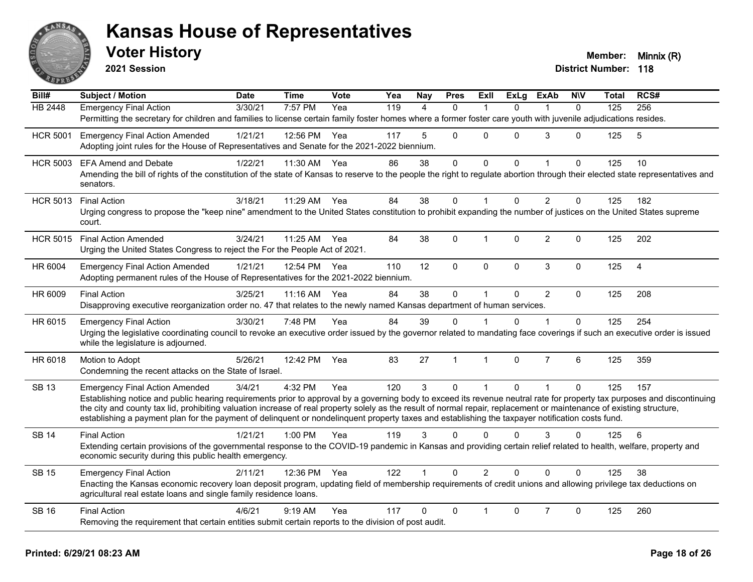

**2021 Session**

| Bill#           | <b>Subject / Motion</b>                                                                                                                                                                                                                                                                                                   | <b>Date</b> | <b>Time</b>  | Vote | Yea | Nay            | <b>Pres</b>    | <b>Exll</b>  | <b>ExLg</b> | <b>ExAb</b>    | <b>NIV</b>   | Total | RCS#           |
|-----------------|---------------------------------------------------------------------------------------------------------------------------------------------------------------------------------------------------------------------------------------------------------------------------------------------------------------------------|-------------|--------------|------|-----|----------------|----------------|--------------|-------------|----------------|--------------|-------|----------------|
| <b>HB</b> 2448  | <b>Emergency Final Action</b>                                                                                                                                                                                                                                                                                             | 3/30/21     | 7:57 PM      | Yea  | 119 | $\overline{4}$ | $\mathbf{0}$   |              | $\Omega$    |                | $\mathbf{0}$ | 125   | 256            |
|                 | Permitting the secretary for children and families to license certain family foster homes where a former foster care youth with juvenile adjudications resides.                                                                                                                                                           |             |              |      |     |                |                |              |             |                |              |       |                |
| <b>HCR 5001</b> | <b>Emergency Final Action Amended</b>                                                                                                                                                                                                                                                                                     | 1/21/21     | 12:56 PM     | Yea  | 117 | 5              | $\Omega$       | $\Omega$     | $\Omega$    | 3              | $\mathbf{0}$ | 125   | 5              |
|                 | Adopting joint rules for the House of Representatives and Senate for the 2021-2022 biennium.                                                                                                                                                                                                                              |             |              |      |     |                |                |              |             |                |              |       |                |
| <b>HCR 5003</b> | <b>EFA Amend and Debate</b>                                                                                                                                                                                                                                                                                               | 1/22/21     | 11:30 AM     | Yea  | 86  | 38             | $\mathbf{0}$   | $\Omega$     | $\Omega$    | 1              | $\Omega$     | 125   | 10             |
|                 | Amending the bill of rights of the constitution of the state of Kansas to reserve to the people the right to regulate abortion through their elected state representatives and<br>senators.                                                                                                                               |             |              |      |     |                |                |              |             |                |              |       |                |
| <b>HCR 5013</b> | <b>Final Action</b>                                                                                                                                                                                                                                                                                                       | 3/18/21     | 11:29 AM     | Yea  | 84  | 38             | $\mathbf{0}$   |              | $\Omega$    | $\overline{2}$ | $\Omega$     | 125   | 182            |
|                 | Urging congress to propose the "keep nine" amendment to the United States constitution to prohibit expanding the number of justices on the United States supreme<br>court.                                                                                                                                                |             |              |      |     |                |                |              |             |                |              |       |                |
| <b>HCR 5015</b> | <b>Final Action Amended</b>                                                                                                                                                                                                                                                                                               | 3/24/21     | 11:25 AM     | Yea  | 84  | 38             | $\Omega$       | 1            | $\Omega$    | $\overline{2}$ | $\Omega$     | 125   | 202            |
|                 | Urging the United States Congress to reject the For the People Act of 2021.                                                                                                                                                                                                                                               |             |              |      |     |                |                |              |             |                |              |       |                |
| HR 6004         | <b>Emergency Final Action Amended</b>                                                                                                                                                                                                                                                                                     | 1/21/21     | 12:54 PM Yea |      | 110 | 12             | $\mathbf 0$    | $\mathbf 0$  | $\mathbf 0$ | $\mathbf{3}$   | $\mathbf 0$  | 125   | $\overline{4}$ |
|                 | Adopting permanent rules of the House of Representatives for the 2021-2022 biennium.                                                                                                                                                                                                                                      |             |              |      |     |                |                |              |             |                |              |       |                |
| HR 6009         | <b>Final Action</b>                                                                                                                                                                                                                                                                                                       | 3/25/21     | 11:16 AM     | Yea  | 84  | 38             | $\mathbf 0$    |              | $\Omega$    | $\overline{2}$ | $\Omega$     | 125   | 208            |
|                 | Disapproving executive reorganization order no. 47 that relates to the newly named Kansas department of human services.                                                                                                                                                                                                   |             |              |      |     |                |                |              |             |                |              |       |                |
| HR 6015         | <b>Emergency Final Action</b>                                                                                                                                                                                                                                                                                             | 3/30/21     | 7:48 PM      | Yea  | 84  | 39             | $\Omega$       |              | $\Omega$    | $\overline{1}$ | $\Omega$     | 125   | 254            |
|                 | Urging the legislative coordinating council to revoke an executive order issued by the governor related to mandating face coverings if such an executive order is issued<br>while the legislature is adjourned.                                                                                                           |             |              |      |     |                |                |              |             |                |              |       |                |
| HR 6018         | Motion to Adopt                                                                                                                                                                                                                                                                                                           | 5/26/21     | 12:42 PM     | Yea  | 83  | 27             | $\overline{1}$ | $\mathbf{1}$ | $\Omega$    | $\overline{7}$ | 6            | 125   | 359            |
|                 | Condemning the recent attacks on the State of Israel.                                                                                                                                                                                                                                                                     |             |              |      |     |                |                |              |             |                |              |       |                |
| <b>SB 13</b>    | <b>Emergency Final Action Amended</b>                                                                                                                                                                                                                                                                                     | 3/4/21      | 4:32 PM      | Yea  | 120 | 3              | $\mathbf 0$    | $\mathbf{1}$ | $\mathbf 0$ | $\mathbf{1}$   | $\mathbf 0$  | 125   | 157            |
|                 | Establishing notice and public hearing requirements prior to approval by a governing body to exceed its revenue neutral rate for property tax purposes and discontinuing                                                                                                                                                  |             |              |      |     |                |                |              |             |                |              |       |                |
|                 | the city and county tax lid, prohibiting valuation increase of real property solely as the result of normal repair, replacement or maintenance of existing structure,<br>establishing a payment plan for the payment of delinquent or nondelinquent property taxes and establishing the taxpayer notification costs fund. |             |              |      |     |                |                |              |             |                |              |       |                |
| <b>SB 14</b>    | <b>Final Action</b>                                                                                                                                                                                                                                                                                                       | 1/21/21     | 1:00 PM      | Yea  | 119 | 3              | $\Omega$       | $\Omega$     | $\Omega$    | 3              | $\Omega$     | 125   | 6              |
|                 | Extending certain provisions of the governmental response to the COVID-19 pandemic in Kansas and providing certain relief related to health, welfare, property and                                                                                                                                                        |             |              |      |     |                |                |              |             |                |              |       |                |
|                 | economic security during this public health emergency.                                                                                                                                                                                                                                                                    |             |              |      |     |                |                |              |             |                |              |       |                |
| <b>SB 15</b>    | <b>Emergency Final Action</b>                                                                                                                                                                                                                                                                                             | 2/11/21     | 12:36 PM     | Yea  | 122 |                | $\mathbf{0}$   | 2            | $\Omega$    | $\Omega$       | $\Omega$     | 125   | 38             |
|                 | Enacting the Kansas economic recovery loan deposit program, updating field of membership requirements of credit unions and allowing privilege tax deductions on<br>agricultural real estate loans and single family residence loans.                                                                                      |             |              |      |     |                |                |              |             |                |              |       |                |
| <b>SB 16</b>    | <b>Final Action</b>                                                                                                                                                                                                                                                                                                       | 4/6/21      | 9:19 AM      | Yea  | 117 | $\Omega$       | $\Omega$       |              | $\Omega$    | $\overline{7}$ | $\Omega$     | 125   | 260            |
|                 | Removing the requirement that certain entities submit certain reports to the division of post audit.                                                                                                                                                                                                                      |             |              |      |     |                |                |              |             |                |              |       |                |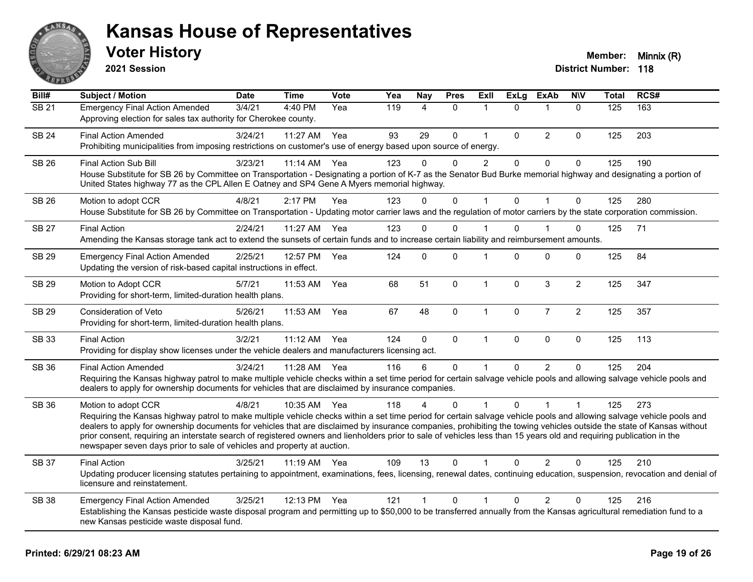

**2021 Session**

| Bill#        | Subject / Motion                                                                                                                                                                                                                                                                                                                                                                                                                                                                                                                                                                                                         | <b>Date</b> | <b>Time</b> | <b>Vote</b> | Yea | <b>Nay</b>     | <b>Pres</b>  | Exll           | <b>ExLg</b>  | <b>ExAb</b>    | <b>NIV</b>     | <b>Total</b> | RCS# |
|--------------|--------------------------------------------------------------------------------------------------------------------------------------------------------------------------------------------------------------------------------------------------------------------------------------------------------------------------------------------------------------------------------------------------------------------------------------------------------------------------------------------------------------------------------------------------------------------------------------------------------------------------|-------------|-------------|-------------|-----|----------------|--------------|----------------|--------------|----------------|----------------|--------------|------|
| <b>SB 21</b> | <b>Emergency Final Action Amended</b><br>Approving election for sales tax authority for Cherokee county.                                                                                                                                                                                                                                                                                                                                                                                                                                                                                                                 | 3/4/21      | 4:40 PM     | Yea         | 119 | $\overline{4}$ | $\mathbf{0}$ | 1              | $\Omega$     | $\mathbf 1$    | $\mathbf{0}$   | 125          | 163  |
| <b>SB 24</b> | <b>Final Action Amended</b><br>Prohibiting municipalities from imposing restrictions on customer's use of energy based upon source of energy.                                                                                                                                                                                                                                                                                                                                                                                                                                                                            | 3/24/21     | 11:27 AM    | Yea         | 93  | 29             | $\mathbf 0$  | $\mathbf{1}$   | $\mathbf{0}$ | $\overline{2}$ | 0              | 125          | 203  |
| SB 26        | <b>Final Action Sub Bill</b><br>House Substitute for SB 26 by Committee on Transportation - Designating a portion of K-7 as the Senator Bud Burke memorial highway and designating a portion of<br>United States highway 77 as the CPL Allen E Oatney and SP4 Gene A Myers memorial highway.                                                                                                                                                                                                                                                                                                                             | 3/23/21     | 11:14 AM    | Yea         | 123 | 0              | 0            | $\overline{c}$ | 0            | $\pmb{0}$      | 0              | 125          | 190  |
| <b>SB 26</b> | Motion to adopt CCR<br>House Substitute for SB 26 by Committee on Transportation - Updating motor carrier laws and the regulation of motor carriers by the state corporation commission.                                                                                                                                                                                                                                                                                                                                                                                                                                 | 4/8/21      | 2:17 PM     | Yea         | 123 | $\Omega$       | $\mathbf{0}$ | 1              | $\Omega$     | $\overline{1}$ | $\mathbf{0}$   | 125          | 280  |
| <b>SB 27</b> | <b>Final Action</b><br>Amending the Kansas storage tank act to extend the sunsets of certain funds and to increase certain liability and reimbursement amounts.                                                                                                                                                                                                                                                                                                                                                                                                                                                          | 2/24/21     | 11:27 AM    | Yea         | 123 | 0              | 0            |                | $\Omega$     |                | 0              | 125          | 71   |
| SB 29        | <b>Emergency Final Action Amended</b><br>Updating the version of risk-based capital instructions in effect.                                                                                                                                                                                                                                                                                                                                                                                                                                                                                                              | 2/25/21     | 12:57 PM    | Yea         | 124 | $\Omega$       | $\Omega$     | 1              | $\Omega$     | $\Omega$       | $\Omega$       | 125          | 84   |
| <b>SB 29</b> | Motion to Adopt CCR<br>Providing for short-term, limited-duration health plans.                                                                                                                                                                                                                                                                                                                                                                                                                                                                                                                                          | 5/7/21      | 11:53 AM    | Yea         | 68  | 51             | $\pmb{0}$    | $\mathbf{1}$   | $\mathbf{0}$ | $\mathfrak{S}$ | $\overline{2}$ | 125          | 347  |
| SB 29        | Consideration of Veto<br>Providing for short-term, limited-duration health plans.                                                                                                                                                                                                                                                                                                                                                                                                                                                                                                                                        | 5/26/21     | 11:53 AM    | Yea         | 67  | 48             | $\mathbf{0}$ | $\mathbf{1}$   | $\pmb{0}$    | $\overline{7}$ | $\overline{2}$ | 125          | 357  |
| <b>SB 33</b> | <b>Final Action</b><br>Providing for display show licenses under the vehicle dealers and manufacturers licensing act.                                                                                                                                                                                                                                                                                                                                                                                                                                                                                                    | 3/2/21      | 11:12 AM    | Yea         | 124 | $\mathbf 0$    | $\mathbf 0$  | $\mathbf{1}$   | $\mathbf{0}$ | $\mathbf 0$    | $\mathbf 0$    | 125          | 113  |
| SB 36        | <b>Final Action Amended</b><br>Requiring the Kansas highway patrol to make multiple vehicle checks within a set time period for certain salvage vehicle pools and allowing salvage vehicle pools and<br>dealers to apply for ownership documents for vehicles that are disclaimed by insurance companies.                                                                                                                                                                                                                                                                                                                | 3/24/21     | 11:28 AM    | Yea         | 116 | 6              | $\mathbf 0$  |                | $\Omega$     | 2              | $\Omega$       | 125          | 204  |
| <b>SB 36</b> | Motion to adopt CCR<br>Requiring the Kansas highway patrol to make multiple vehicle checks within a set time period for certain salvage vehicle pools and allowing salvage vehicle pools and<br>dealers to apply for ownership documents for vehicles that are disclaimed by insurance companies, prohibiting the towing vehicles outside the state of Kansas without<br>prior consent, requiring an interstate search of registered owners and lienholders prior to sale of vehicles less than 15 years old and requiring publication in the<br>newspaper seven days prior to sale of vehicles and property at auction. | 4/8/21      | 10:35 AM    | Yea         | 118 |                | $\Omega$     |                | $\Omega$     |                | 1              | 125          | 273  |
| SB 37        | <b>Final Action</b><br>Updating producer licensing statutes pertaining to appointment, examinations, fees, licensing, renewal dates, continuing education, suspension, revocation and denial of<br>licensure and reinstatement.                                                                                                                                                                                                                                                                                                                                                                                          | 3/25/21     | $11:19$ AM  | Yea         | 109 | 13             | 0            |                | 0            | $\overline{2}$ | $\Omega$       | 125          | 210  |
| <b>SB 38</b> | <b>Emergency Final Action Amended</b><br>Establishing the Kansas pesticide waste disposal program and permitting up to \$50,000 to be transferred annually from the Kansas agricultural remediation fund to a<br>new Kansas pesticide waste disposal fund.                                                                                                                                                                                                                                                                                                                                                               | 3/25/21     | 12:13 PM    | Yea         | 121 | $\mathbf{1}$   | 0            | 1              | $\Omega$     | $\overline{2}$ | $\Omega$       | 125          | 216  |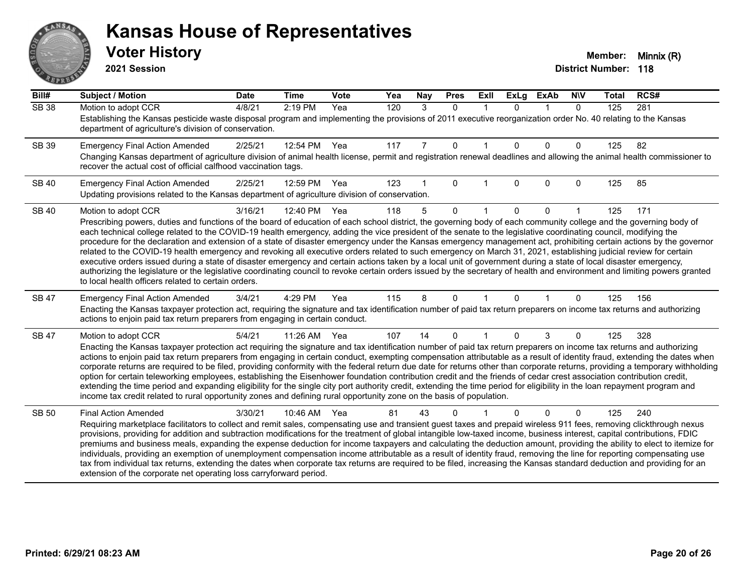# ANS Ě

#### **Kansas House of Representatives**

**2021 Session**

| Bill#        | <b>Subject / Motion</b>                                                                                                                                                                                                                                                                                                                                                                                                                                                                                                                                                                                                                                                                                                                                                                                                                                                                                                                                                                                                                                                                                          | <b>Date</b> | <b>Time</b> | Vote | Yea | Nay            | <b>Pres</b> | ExII         | <b>ExLg</b> | <b>ExAb</b> | <b>NIV</b>   | <b>Total</b> | RCS# |
|--------------|------------------------------------------------------------------------------------------------------------------------------------------------------------------------------------------------------------------------------------------------------------------------------------------------------------------------------------------------------------------------------------------------------------------------------------------------------------------------------------------------------------------------------------------------------------------------------------------------------------------------------------------------------------------------------------------------------------------------------------------------------------------------------------------------------------------------------------------------------------------------------------------------------------------------------------------------------------------------------------------------------------------------------------------------------------------------------------------------------------------|-------------|-------------|------|-----|----------------|-------------|--------------|-------------|-------------|--------------|--------------|------|
| <b>SB 38</b> | Motion to adopt CCR<br>Establishing the Kansas pesticide waste disposal program and implementing the provisions of 2011 executive reorganization order No. 40 relating to the Kansas<br>department of agriculture's division of conservation.                                                                                                                                                                                                                                                                                                                                                                                                                                                                                                                                                                                                                                                                                                                                                                                                                                                                    | 4/8/21      | 2:19 PM     | Yea  | 120 | 3              | $\Omega$    | $\mathbf{1}$ | $\Omega$    | $\mathbf 1$ | $\mathbf{0}$ | 125          | 281  |
| SB 39        | <b>Emergency Final Action Amended</b><br>Changing Kansas department of agriculture division of animal health license, permit and registration renewal deadlines and allowing the animal health commissioner to<br>recover the actual cost of official calfhood vaccination tags.                                                                                                                                                                                                                                                                                                                                                                                                                                                                                                                                                                                                                                                                                                                                                                                                                                 | 2/25/21     | 12:54 PM    | Yea  | 117 | $\overline{7}$ | $\mathbf 0$ | 1            | $\Omega$    | $\Omega$    | 0            | 125          | 82   |
| <b>SB 40</b> | <b>Emergency Final Action Amended</b><br>Updating provisions related to the Kansas department of agriculture division of conservation.                                                                                                                                                                                                                                                                                                                                                                                                                                                                                                                                                                                                                                                                                                                                                                                                                                                                                                                                                                           | 2/25/21     | 12:59 PM    | Yea  | 123 |                | $\Omega$    |              | $\Omega$    | $\Omega$    | $\Omega$     | 125          | 85   |
| <b>SB 40</b> | Motion to adopt CCR<br>Prescribing powers, duties and functions of the board of education of each school district, the governing body of each community college and the governing body of<br>each technical college related to the COVID-19 health emergency, adding the vice president of the senate to the legislative coordinating council, modifying the<br>procedure for the declaration and extension of a state of disaster emergency under the Kansas emergency management act, prohibiting certain actions by the governor<br>related to the COVID-19 health emergency and revoking all executive orders related to such emergency on March 31, 2021, establishing judicial review for certain<br>executive orders issued during a state of disaster emergency and certain actions taken by a local unit of government during a state of local disaster emergency,<br>authorizing the legislature or the legislative coordinating council to revoke certain orders issued by the secretary of health and environment and limiting powers granted<br>to local health officers related to certain orders. | 3/16/21     | 12:40 PM    | Yea  | 118 | 5              | $\Omega$    |              | $\Omega$    | $\Omega$    |              | 125          | 171  |
| <b>SB 47</b> | <b>Emergency Final Action Amended</b><br>Enacting the Kansas taxpayer protection act, requiring the signature and tax identification number of paid tax return preparers on income tax returns and authorizing<br>actions to enjoin paid tax return preparers from engaging in certain conduct.                                                                                                                                                                                                                                                                                                                                                                                                                                                                                                                                                                                                                                                                                                                                                                                                                  | 3/4/21      | 4:29 PM     | Yea  | 115 | 8              | $\Omega$    | 1            | $\Omega$    |             | $\Omega$     | 125          | 156  |
| SB 47        | Motion to adopt CCR<br>Enacting the Kansas taxpayer protection act requiring the signature and tax identification number of paid tax return preparers on income tax returns and authorizing<br>actions to enjoin paid tax return preparers from engaging in certain conduct, exempting compensation attributable as a result of identity fraud, extending the dates when<br>corporate returns are required to be filed, providing conformity with the federal return due date for returns other than corporate returns, providing a temporary withholding<br>option for certain teleworking employees, establishing the Eisenhower foundation contribution credit and the friends of cedar crest association contribution credit,<br>extending the time period and expanding eligibility for the single city port authority credit, extending the time period for eligibility in the loan repayment program and<br>income tax credit related to rural opportunity zones and defining rural opportunity zone on the basis of population.                                                                          | 5/4/21      | 11:26 AM    | Yea  | 107 | 14             | $\Omega$    | 1            | $\Omega$    | 3           | $\Omega$     | 125          | 328  |
| <b>SB 50</b> | <b>Final Action Amended</b><br>Requiring marketplace facilitators to collect and remit sales, compensating use and transient guest taxes and prepaid wireless 911 fees, removing clickthrough nexus<br>provisions, providing for addition and subtraction modifications for the treatment of global intangible low-taxed income, business interest, capital contributions, FDIC<br>premiums and business meals, expanding the expense deduction for income taxpayers and calculating the deduction amount, providing the ability to elect to itemize for<br>individuals, providing an exemption of unemployment compensation income attributable as a result of identity fraud, removing the line for reporting compensating use<br>tax from individual tax returns, extending the dates when corporate tax returns are required to be filed, increasing the Kansas standard deduction and providing for an<br>extension of the corporate net operating loss carryforward period.                                                                                                                                | 3/30/21     | 10:46 AM    | Yea  | 81  | 43             | 0           |              |             | $\Omega$    | $\Omega$     | 125          | 240  |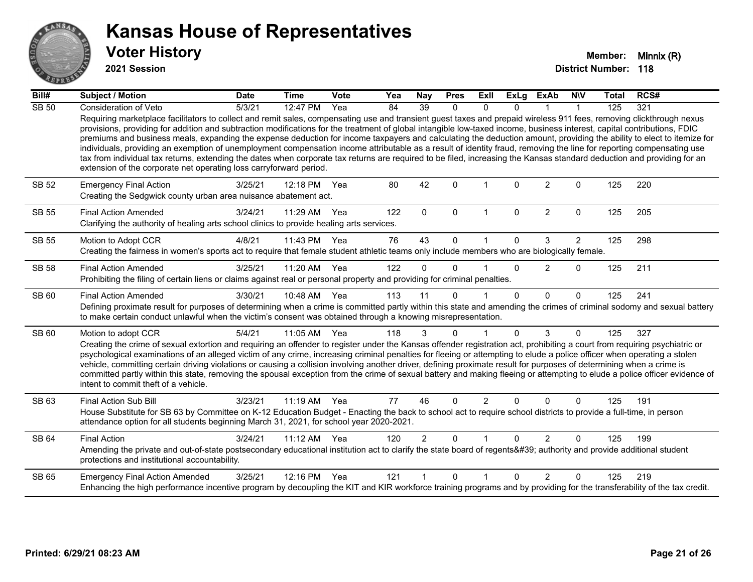

**2021 Session**

| Bill#        | Subject / Motion                                                                                                                                                                                                                                                                                                                                                                                                                                                                                                                                                                                                                                                                                                                                                                                                                                                                                                                                   | <b>Date</b> | <b>Time</b>  | <b>Vote</b> | Yea | Nay             | <b>Pres</b>  | Exll           | ExLg         | <b>ExAb</b>    | <b>NIV</b>     | <b>Total</b> | RCS# |
|--------------|----------------------------------------------------------------------------------------------------------------------------------------------------------------------------------------------------------------------------------------------------------------------------------------------------------------------------------------------------------------------------------------------------------------------------------------------------------------------------------------------------------------------------------------------------------------------------------------------------------------------------------------------------------------------------------------------------------------------------------------------------------------------------------------------------------------------------------------------------------------------------------------------------------------------------------------------------|-------------|--------------|-------------|-----|-----------------|--------------|----------------|--------------|----------------|----------------|--------------|------|
| <b>SB 50</b> | Consideration of Veto                                                                                                                                                                                                                                                                                                                                                                                                                                                                                                                                                                                                                                                                                                                                                                                                                                                                                                                              | 5/3/21      | 12:47 PM     | Yea         | 84  | $\overline{39}$ | $\Omega$     | $\Omega$       | $\Omega$     |                |                | 125          | 321  |
|              | Requiring marketplace facilitators to collect and remit sales, compensating use and transient guest taxes and prepaid wireless 911 fees, removing clickthrough nexus<br>provisions, providing for addition and subtraction modifications for the treatment of global intangible low-taxed income, business interest, capital contributions, FDIC<br>premiums and business meals, expanding the expense deduction for income taxpayers and calculating the deduction amount, providing the ability to elect to itemize for<br>individuals, providing an exemption of unemployment compensation income attributable as a result of identity fraud, removing the line for reporting compensating use<br>tax from individual tax returns, extending the dates when corporate tax returns are required to be filed, increasing the Kansas standard deduction and providing for an<br>extension of the corporate net operating loss carryforward period. |             |              |             |     |                 |              |                |              |                |                |              |      |
| <b>SB 52</b> | <b>Emergency Final Action</b><br>Creating the Sedgwick county urban area nuisance abatement act.                                                                                                                                                                                                                                                                                                                                                                                                                                                                                                                                                                                                                                                                                                                                                                                                                                                   | 3/25/21     | 12:18 PM     | Yea         | 80  | 42              | $\Omega$     |                | <sup>0</sup> | $\overline{2}$ | $\Omega$       | 125          | 220  |
| <b>SB 55</b> | <b>Final Action Amended</b><br>Clarifying the authority of healing arts school clinics to provide healing arts services.                                                                                                                                                                                                                                                                                                                                                                                                                                                                                                                                                                                                                                                                                                                                                                                                                           | 3/24/21     | 11:29 AM     | Yea         | 122 | $\mathbf{0}$    | $\mathbf{0}$ | 1              | $\Omega$     | $\overline{2}$ | $\mathbf{0}$   | 125          | 205  |
| <b>SB 55</b> | Motion to Adopt CCR                                                                                                                                                                                                                                                                                                                                                                                                                                                                                                                                                                                                                                                                                                                                                                                                                                                                                                                                | 4/8/21      | 11:43 PM Yea |             | 76  | 43              | $\Omega$     |                | $\Omega$     | 3              | $\overline{2}$ | 125          | 298  |
|              | Creating the fairness in women's sports act to require that female student athletic teams only include members who are biologically female.                                                                                                                                                                                                                                                                                                                                                                                                                                                                                                                                                                                                                                                                                                                                                                                                        |             |              |             |     |                 |              |                |              |                |                |              |      |
| <b>SB 58</b> | <b>Final Action Amended</b>                                                                                                                                                                                                                                                                                                                                                                                                                                                                                                                                                                                                                                                                                                                                                                                                                                                                                                                        | 3/25/21     | 11:20 AM     | Yea         | 122 | $\Omega$        | $\Omega$     |                | $\Omega$     | $\overline{2}$ | $\mathbf 0$    | 125          | 211  |
|              | Prohibiting the filing of certain liens or claims against real or personal property and providing for criminal penalties.                                                                                                                                                                                                                                                                                                                                                                                                                                                                                                                                                                                                                                                                                                                                                                                                                          |             |              |             |     |                 |              |                |              |                |                |              |      |
| SB 60        | <b>Final Action Amended</b>                                                                                                                                                                                                                                                                                                                                                                                                                                                                                                                                                                                                                                                                                                                                                                                                                                                                                                                        | 3/30/21     | 10:48 AM Yea |             | 113 | 11              | $\Omega$     |                | $\Omega$     | $\Omega$       | $\Omega$       | 125          | 241  |
|              | Defining proximate result for purposes of determining when a crime is committed partly within this state and amending the crimes of criminal sodomy and sexual battery<br>to make certain conduct unlawful when the victim's consent was obtained through a knowing misrepresentation.                                                                                                                                                                                                                                                                                                                                                                                                                                                                                                                                                                                                                                                             |             |              |             |     |                 |              |                |              |                |                |              |      |
| SB 60        | Motion to adopt CCR                                                                                                                                                                                                                                                                                                                                                                                                                                                                                                                                                                                                                                                                                                                                                                                                                                                                                                                                | 5/4/21      | 11:05 AM Yea |             | 118 | 3               | $\mathbf{0}$ | 1              | 0            | 3              | $\Omega$       | 125          | 327  |
|              | Creating the crime of sexual extortion and requiring an offender to register under the Kansas offender registration act, prohibiting a court from requiring psychiatric or<br>psychological examinations of an alleged victim of any crime, increasing criminal penalties for fleeing or attempting to elude a police officer when operating a stolen<br>vehicle, committing certain driving violations or causing a collision involving another driver, defining proximate result for purposes of determining when a crime is<br>committed partly within this state, removing the spousal exception from the crime of sexual battery and making fleeing or attempting to elude a police officer evidence of<br>intent to commit theft of a vehicle.                                                                                                                                                                                               |             |              |             |     |                 |              |                |              |                |                |              |      |
| SB 63        | <b>Final Action Sub Bill</b>                                                                                                                                                                                                                                                                                                                                                                                                                                                                                                                                                                                                                                                                                                                                                                                                                                                                                                                       | 3/23/21     | 11:19 AM Yea |             | 77  | 46              | $\Omega$     | $\overline{2}$ | 0            | $\Omega$       | $\Omega$       | 125          | 191  |
|              | House Substitute for SB 63 by Committee on K-12 Education Budget - Enacting the back to school act to require school districts to provide a full-time, in person<br>attendance option for all students beginning March 31, 2021, for school year 2020-2021.                                                                                                                                                                                                                                                                                                                                                                                                                                                                                                                                                                                                                                                                                        |             |              |             |     |                 |              |                |              |                |                |              |      |
| SB 64        | <b>Final Action</b>                                                                                                                                                                                                                                                                                                                                                                                                                                                                                                                                                                                                                                                                                                                                                                                                                                                                                                                                | 3/24/21     | 11:12 AM     | Yea         | 120 | $\overline{2}$  | $\Omega$     |                | $\Omega$     | 2              | $\Omega$       | 125          | 199  |
|              | Amending the private and out-of-state postsecondary educational institution act to clarify the state board of regents' authority and provide additional student<br>protections and institutional accountability.                                                                                                                                                                                                                                                                                                                                                                                                                                                                                                                                                                                                                                                                                                                                   |             |              |             |     |                 |              |                |              |                |                |              |      |
| SB 65        | <b>Emergency Final Action Amended</b>                                                                                                                                                                                                                                                                                                                                                                                                                                                                                                                                                                                                                                                                                                                                                                                                                                                                                                              | 3/25/21     | 12:16 PM Yea |             | 121 |                 | $\Omega$     | 1              | <sup>n</sup> | $\mathcal{P}$  | $\Omega$       | 125          | 219  |
|              | Enhancing the high performance incentive program by decoupling the KIT and KIR workforce training programs and by providing for the transferability of the tax credit.                                                                                                                                                                                                                                                                                                                                                                                                                                                                                                                                                                                                                                                                                                                                                                             |             |              |             |     |                 |              |                |              |                |                |              |      |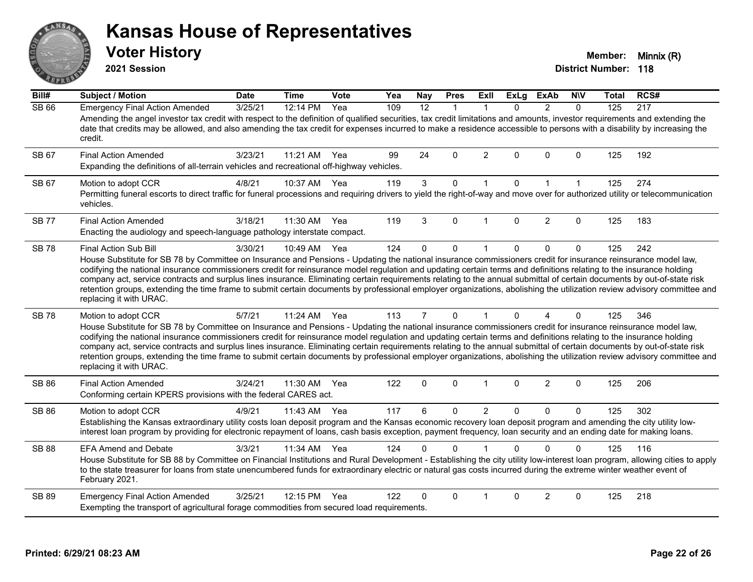# ANS Erry

#### **Kansas House of Representatives**

**2021 Session**

**Voter History Member: Minnix (R)** 

| Bill#        | <b>Subject / Motion</b>                                                                                                                                                                                                                                                                                                                                                                                                                                                                                                                                                                                                                                                                                                                        | <b>Date</b> | <b>Time</b> | Vote | Yea | Nay            | <b>Pres</b>  | ExII           | <b>ExLg</b> | <b>ExAb</b>    | <b>NIV</b>   | Total | RCS# |
|--------------|------------------------------------------------------------------------------------------------------------------------------------------------------------------------------------------------------------------------------------------------------------------------------------------------------------------------------------------------------------------------------------------------------------------------------------------------------------------------------------------------------------------------------------------------------------------------------------------------------------------------------------------------------------------------------------------------------------------------------------------------|-------------|-------------|------|-----|----------------|--------------|----------------|-------------|----------------|--------------|-------|------|
| <b>SB 66</b> | <b>Emergency Final Action Amended</b><br>Amending the angel investor tax credit with respect to the definition of qualified securities, tax credit limitations and amounts, investor requirements and extending the<br>date that credits may be allowed, and also amending the tax credit for expenses incurred to make a residence accessible to persons with a disability by increasing the<br>credit.                                                                                                                                                                                                                                                                                                                                       | 3/25/21     | 12:14 PM    | Yea  | 109 | 12             | $\mathbf{1}$ | 1              | $\Omega$    | 2              | $\mathbf{0}$ | 125   | 217  |
| SB 67        | <b>Final Action Amended</b><br>Expanding the definitions of all-terrain vehicles and recreational off-highway vehicles.                                                                                                                                                                                                                                                                                                                                                                                                                                                                                                                                                                                                                        | 3/23/21     | 11:21 AM    | Yea  | 99  | 24             | $\Omega$     | $\overline{2}$ | $\Omega$    | $\Omega$       | 0            | 125   | 192  |
| SB 67        | Motion to adopt CCR<br>Permitting funeral escorts to direct traffic for funeral processions and requiring drivers to yield the right-of-way and move over for authorized utility or telecommunication<br>vehicles.                                                                                                                                                                                                                                                                                                                                                                                                                                                                                                                             | 4/8/21      | 10:37 AM    | Yea  | 119 | $\mathbf{3}$   | $\mathbf 0$  | $\mathbf{1}$   | $\mathbf 0$ | $\mathbf{1}$   | $\mathbf{1}$ | 125   | 274  |
| <b>SB 77</b> | <b>Final Action Amended</b><br>Enacting the audiology and speech-language pathology interstate compact.                                                                                                                                                                                                                                                                                                                                                                                                                                                                                                                                                                                                                                        | 3/18/21     | 11:30 AM    | Yea  | 119 | 3              | $\Omega$     | $\overline{1}$ | $\Omega$    | 2              | $\Omega$     | 125   | 183  |
| <b>SB78</b>  | Final Action Sub Bill<br>House Substitute for SB 78 by Committee on Insurance and Pensions - Updating the national insurance commissioners credit for insurance reinsurance model law,<br>codifying the national insurance commissioners credit for reinsurance model regulation and updating certain terms and definitions relating to the insurance holding<br>company act, service contracts and surplus lines insurance. Eliminating certain requirements relating to the annual submittal of certain documents by out-of-state risk<br>retention groups, extending the time frame to submit certain documents by professional employer organizations, abolishing the utilization review advisory committee and<br>replacing it with URAC. | 3/30/21     | 10:49 AM    | Yea  | 124 | $\Omega$       | 0            | $\mathbf 1$    | $\Omega$    | 0              | $\mathbf 0$  | 125   | 242  |
| <b>SB78</b>  | Motion to adopt CCR<br>House Substitute for SB 78 by Committee on Insurance and Pensions - Updating the national insurance commissioners credit for insurance reinsurance model law,<br>codifying the national insurance commissioners credit for reinsurance model regulation and updating certain terms and definitions relating to the insurance holding<br>company act, service contracts and surplus lines insurance. Eliminating certain requirements relating to the annual submittal of certain documents by out-of-state risk<br>retention groups, extending the time frame to submit certain documents by professional employer organizations, abolishing the utilization review advisory committee and<br>replacing it with URAC.   | 5/7/21      | 11:24 AM    | Yea  | 113 | $\overline{7}$ | $\Omega$     | $\mathbf{1}$   | $\Omega$    | $\overline{A}$ | 0            | 125   | 346  |
| SB 86        | <b>Final Action Amended</b><br>Conforming certain KPERS provisions with the federal CARES act.                                                                                                                                                                                                                                                                                                                                                                                                                                                                                                                                                                                                                                                 | 3/24/21     | 11:30 AM    | Yea  | 122 | $\mathbf 0$    | 0            | $\mathbf 1$    | 0           | $\overline{2}$ | 0            | 125   | 206  |
| <b>SB 86</b> | Motion to adopt CCR<br>Establishing the Kansas extraordinary utility costs loan deposit program and the Kansas economic recovery loan deposit program and amending the city utility low-<br>interest loan program by providing for electronic repayment of loans, cash basis exception, payment frequency, loan security and an ending date for making loans.                                                                                                                                                                                                                                                                                                                                                                                  | 4/9/21      | 11:43 AM    | Yea  | 117 | 6              | 0            | $\overline{2}$ | $\Omega$    | $\Omega$       | 0            | 125   | 302  |
| <b>SB 88</b> | <b>EFA Amend and Debate</b><br>House Substitute for SB 88 by Committee on Financial Institutions and Rural Development - Establishing the city utility low-interest loan program, allowing cities to apply<br>to the state treasurer for loans from state unencumbered funds for extraordinary electric or natural gas costs incurred during the extreme winter weather event of<br>February 2021.                                                                                                                                                                                                                                                                                                                                             | 3/3/21      | 11:34 AM    | Yea  | 124 | 0              | $\Omega$     |                | $\Omega$    | $\Omega$       | 0            | 125   | 116  |
| <b>SB 89</b> | <b>Emergency Final Action Amended</b><br>Exempting the transport of agricultural forage commodities from secured load requirements.                                                                                                                                                                                                                                                                                                                                                                                                                                                                                                                                                                                                            | 3/25/21     | 12:15 PM    | Yea  | 122 | 0              | $\Omega$     |                | 0           | 2              | 0            | 125   | 218  |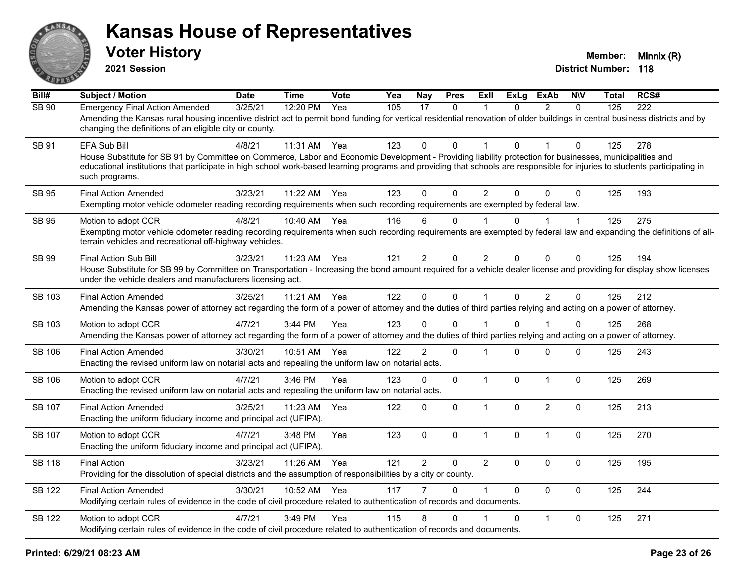

**2021 Session**

| Bill#         | Subject / Motion                                                                                                                                                                                                                                                                                                                                                        | <b>Date</b> | <b>Time</b> | <b>Vote</b> | Yea | <b>Nay</b>     | <b>Pres</b>  | <b>Exll</b>    | <b>ExLg</b>  | <b>ExAb</b>    | <b>NIV</b>     | Total | RCS# |
|---------------|-------------------------------------------------------------------------------------------------------------------------------------------------------------------------------------------------------------------------------------------------------------------------------------------------------------------------------------------------------------------------|-------------|-------------|-------------|-----|----------------|--------------|----------------|--------------|----------------|----------------|-------|------|
| <b>SB 90</b>  | <b>Emergency Final Action Amended</b><br>Amending the Kansas rural housing incentive district act to permit bond funding for vertical residential renovation of older buildings in central business districts and by<br>changing the definitions of an eligible city or county.                                                                                         | 3/25/21     | 12:20 PM    | Yea         | 105 | 17             | $\mathbf{0}$ | 1              | $\Omega$     | $\mathcal{P}$  | $\Omega$       | 125   | 222  |
| <b>SB 91</b>  | EFA Sub Bill<br>House Substitute for SB 91 by Committee on Commerce, Labor and Economic Development - Providing liability protection for businesses, municipalities and<br>educational institutions that participate in high school work-based learning programs and providing that schools are responsible for injuries to students participating in<br>such programs. | 4/8/21      | 11:31 AM    | Yea         | 123 | $\Omega$       | $\Omega$     |                | 0            |                | $\Omega$       | 125   | 278  |
| SB 95         | <b>Final Action Amended</b><br>Exempting motor vehicle odometer reading recording requirements when such recording requirements are exempted by federal law.                                                                                                                                                                                                            | 3/23/21     | 11:22 AM    | Yea         | 123 | 0              | $\Omega$     | $\overline{2}$ | 0            | $\Omega$       | $\Omega$       | 125   | 193  |
| <b>SB 95</b>  | Motion to adopt CCR<br>Exempting motor vehicle odometer reading recording requirements when such recording requirements are exempted by federal law and expanding the definitions of all-<br>terrain vehicles and recreational off-highway vehicles.                                                                                                                    | 4/8/21      | 10:40 AM    | Yea         | 116 | 6              | $\Omega$     |                | 0            |                | $\overline{1}$ | 125   | 275  |
| <b>SB 99</b>  | Final Action Sub Bill<br>House Substitute for SB 99 by Committee on Transportation - Increasing the bond amount required for a vehicle dealer license and providing for display show licenses<br>under the vehicle dealers and manufacturers licensing act.                                                                                                             | 3/23/21     | 11:23 AM    | Yea         | 121 | $\overline{2}$ | 0            | $\overline{2}$ | $\Omega$     | 0              | 0              | 125   | 194  |
| SB 103        | <b>Final Action Amended</b><br>Amending the Kansas power of attorney act regarding the form of a power of attorney and the duties of third parties relying and acting on a power of attorney.                                                                                                                                                                           | 3/25/21     | 11:21 AM    | Yea         | 122 | $\mathbf 0$    | 0            | $\mathbf{1}$   | $\mathbf{0}$ | $\overline{2}$ | $\mathbf{0}$   | 125   | 212  |
| SB 103        | Motion to adopt CCR<br>Amending the Kansas power of attorney act regarding the form of a power of attorney and the duties of third parties relying and acting on a power of attorney.                                                                                                                                                                                   | 4/7/21      | $3:44$ PM   | Yea         | 123 | 0              | $\Omega$     |                | 0            |                | $\Omega$       | 125   | 268  |
| <b>SB 106</b> | <b>Final Action Amended</b><br>Enacting the revised uniform law on notarial acts and repealing the uniform law on notarial acts.                                                                                                                                                                                                                                        | 3/30/21     | 10:51 AM    | Yea         | 122 | $\overline{2}$ | 0            | 1              | $\Omega$     | 0              | 0              | 125   | 243  |
| SB 106        | Motion to adopt CCR<br>Enacting the revised uniform law on notarial acts and repealing the uniform law on notarial acts.                                                                                                                                                                                                                                                | 4/7/21      | 3:46 PM     | Yea         | 123 | $\mathbf 0$    | 0            | $\mathbf{1}$   | $\mathbf 0$  | $\mathbf{1}$   | $\mathbf 0$    | 125   | 269  |
| SB 107        | <b>Final Action Amended</b><br>Enacting the uniform fiduciary income and principal act (UFIPA).                                                                                                                                                                                                                                                                         | 3/25/21     | 11:23 AM    | Yea         | 122 | $\mathbf{0}$   | 0            | $\mathbf{1}$   | $\Omega$     | $\overline{2}$ | $\mathbf 0$    | 125   | 213  |
| SB 107        | Motion to adopt CCR<br>Enacting the uniform fiduciary income and principal act (UFIPA).                                                                                                                                                                                                                                                                                 | 4/7/21      | 3:48 PM     | Yea         | 123 | $\mathbf 0$    | $\mathbf 0$  | $\mathbf{1}$   | $\mathbf 0$  | $\mathbf{1}$   | $\mathbf 0$    | 125   | 270  |
| <b>SB 118</b> | <b>Final Action</b><br>Providing for the dissolution of special districts and the assumption of responsibilities by a city or county.                                                                                                                                                                                                                                   | 3/23/21     | 11:26 AM    | Yea         | 121 | $\overline{2}$ | $\mathbf 0$  | $\overline{2}$ | $\mathbf{0}$ | $\mathbf 0$    | $\mathbf 0$    | 125   | 195  |
| <b>SB 122</b> | <b>Final Action Amended</b><br>Modifying certain rules of evidence in the code of civil procedure related to authentication of records and documents.                                                                                                                                                                                                                   | 3/30/21     | 10:52 AM    | Yea         | 117 |                | $\Omega$     | $\mathbf 1$    | $\Omega$     | $\Omega$       | $\Omega$       | 125   | 244  |
| <b>SB 122</b> | Motion to adopt CCR<br>Modifying certain rules of evidence in the code of civil procedure related to authentication of records and documents.                                                                                                                                                                                                                           | 4/7/21      | 3:49 PM     | Yea         | 115 | 8              | 0            |                | $\Omega$     | $\mathbf{1}$   | $\mathbf{0}$   | 125   | 271  |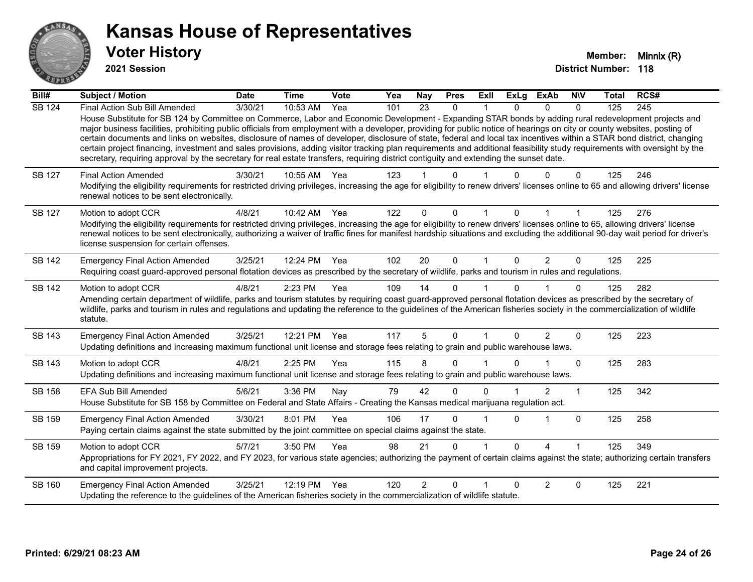

**2021 Session**

| Bill#         | <b>Subject / Motion</b>                                                                                                                                                                                                                                                                                                                                                                                                                                                                                                                                                                                                                                                                                                                                                                                                                                              | <b>Date</b> | <b>Time</b> | Vote | Yea | <b>Nay</b>     | <b>Pres</b> | ExII | <b>ExLg</b>  | <b>ExAb</b>    | <b>NIV</b> | <b>Total</b> | RCS# |
|---------------|----------------------------------------------------------------------------------------------------------------------------------------------------------------------------------------------------------------------------------------------------------------------------------------------------------------------------------------------------------------------------------------------------------------------------------------------------------------------------------------------------------------------------------------------------------------------------------------------------------------------------------------------------------------------------------------------------------------------------------------------------------------------------------------------------------------------------------------------------------------------|-------------|-------------|------|-----|----------------|-------------|------|--------------|----------------|------------|--------------|------|
| <b>SB 124</b> | Final Action Sub Bill Amended<br>House Substitute for SB 124 by Committee on Commerce, Labor and Economic Development - Expanding STAR bonds by adding rural redevelopment projects and<br>major business facilities, prohibiting public officials from employment with a developer, providing for public notice of hearings on city or county websites, posting of<br>certain documents and links on websites, disclosure of names of developer, disclosure of state, federal and local tax incentives within a STAR bond district, changing<br>certain project financing, investment and sales provisions, adding visitor tracking plan requirements and additional feasibility study requirements with oversight by the<br>secretary, requiring approval by the secretary for real estate transfers, requiring district contiguity and extending the sunset date. | 3/30/21     | 10:53 AM    | Yea  | 101 | 23             | $\Omega$    |      | <sup>n</sup> | $\Omega$       | $\Omega$   | 125          | 245  |
| SB 127        | <b>Final Action Amended</b><br>Modifying the eligibility requirements for restricted driving privileges, increasing the age for eligibility to renew drivers' licenses online to 65 and allowing drivers' license<br>renewal notices to be sent electronically.                                                                                                                                                                                                                                                                                                                                                                                                                                                                                                                                                                                                      | 3/30/21     | 10:55 AM    | Yea  | 123 |                | U           |      |              |                | 0          | 125          | 246  |
| SB 127        | Motion to adopt CCR<br>Modifying the eligibility requirements for restricted driving privileges, increasing the age for eligibility to renew drivers' licenses online to 65, allowing drivers' license<br>renewal notices to be sent electronically, authorizing a waiver of traffic fines for manifest hardship situations and excluding the additional 90-day wait period for driver's<br>license suspension for certain offenses.                                                                                                                                                                                                                                                                                                                                                                                                                                 | 4/8/21      | 10:42 AM    | Yea  | 122 | $\Omega$       | $\Omega$    |      |              |                |            | 125          | 276  |
| <b>SB 142</b> | <b>Emergency Final Action Amended</b><br>Requiring coast guard-approved personal flotation devices as prescribed by the secretary of wildlife, parks and tourism in rules and regulations.                                                                                                                                                                                                                                                                                                                                                                                                                                                                                                                                                                                                                                                                           | 3/25/21     | 12:24 PM    | Yea  | 102 | 20             | $\mathbf 0$ | 1    | $\Omega$     | $\overline{2}$ | $\Omega$   | 125          | 225  |
| <b>SB 142</b> | Motion to adopt CCR<br>Amending certain department of wildlife, parks and tourism statutes by requiring coast guard-approved personal flotation devices as prescribed by the secretary of<br>wildlife, parks and tourism in rules and regulations and updating the reference to the guidelines of the American fisheries society in the commercialization of wildlife<br>statute.                                                                                                                                                                                                                                                                                                                                                                                                                                                                                    | 4/8/21      | 2:23 PM     | Yea  | 109 | 14             | $\Omega$    |      |              |                | $\Omega$   | 125          | 282  |
| SB 143        | <b>Emergency Final Action Amended</b><br>Updating definitions and increasing maximum functional unit license and storage fees relating to grain and public warehouse laws.                                                                                                                                                                                                                                                                                                                                                                                                                                                                                                                                                                                                                                                                                           | 3/25/21     | 12:21 PM    | Yea  | 117 | 5              | $\Omega$    |      | 0            | $\overline{2}$ | $\Omega$   | 125          | 223  |
| SB 143        | Motion to adopt CCR<br>Updating definitions and increasing maximum functional unit license and storage fees relating to grain and public warehouse laws.                                                                                                                                                                                                                                                                                                                                                                                                                                                                                                                                                                                                                                                                                                             | 4/8/21      | 2:25 PM     | Yea  | 115 | 8              | $\Omega$    |      |              |                | $\Omega$   | 125          | 283  |
| SB 158        | EFA Sub Bill Amended<br>House Substitute for SB 158 by Committee on Federal and State Affairs - Creating the Kansas medical marijuana regulation act.                                                                                                                                                                                                                                                                                                                                                                                                                                                                                                                                                                                                                                                                                                                | 5/6/21      | 3:36 PM     | Nay  | 79  | 42             | $\Omega$    | U    |              | $\overline{2}$ | 1          | 125          | 342  |
| SB 159        | <b>Emergency Final Action Amended</b><br>Paying certain claims against the state submitted by the joint committee on special claims against the state.                                                                                                                                                                                                                                                                                                                                                                                                                                                                                                                                                                                                                                                                                                               | 3/30/21     | 8:01 PM     | Yea  | 106 | 17             | $\Omega$    |      | U            |                | $\Omega$   | 125          | 258  |
| SB 159        | Motion to adopt CCR<br>Appropriations for FY 2021, FY 2022, and FY 2023, for various state agencies; authorizing the payment of certain claims against the state; authorizing certain transfers<br>and capital improvement projects.                                                                                                                                                                                                                                                                                                                                                                                                                                                                                                                                                                                                                                 | 5/7/21      | 3:50 PM     | Yea  | 98  | 21             | 0           |      | 0            | 4              |            | 125          | 349  |
| SB 160        | <b>Emergency Final Action Amended</b><br>Updating the reference to the guidelines of the American fisheries society in the commercialization of wildlife statute.                                                                                                                                                                                                                                                                                                                                                                                                                                                                                                                                                                                                                                                                                                    | 3/25/21     | 12:19 PM    | Yea  | 120 | $\overline{2}$ | $\Omega$    |      | <sup>0</sup> | 2              | $\Omega$   | 125          | 221  |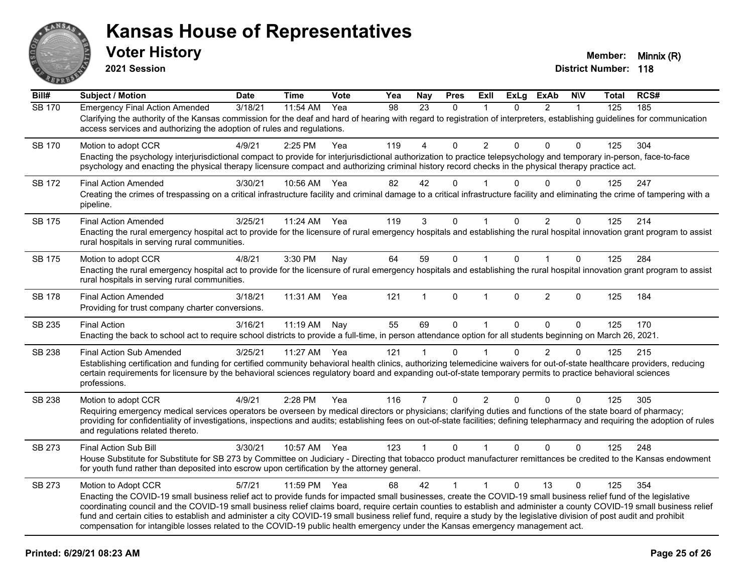

**2021 Session**

| Bill#         | <b>Subject / Motion</b>                                                                                                                                                                                                                                                                                                                                                                | <b>Date</b> | <b>Time</b> | Vote | Yea | <b>Nay</b>     | <b>Pres</b>  | ExII                 | <b>ExLg</b>  | <b>ExAb</b>    | <b>NIV</b>   | <b>Total</b> | RCS# |
|---------------|----------------------------------------------------------------------------------------------------------------------------------------------------------------------------------------------------------------------------------------------------------------------------------------------------------------------------------------------------------------------------------------|-------------|-------------|------|-----|----------------|--------------|----------------------|--------------|----------------|--------------|--------------|------|
| <b>SB 170</b> | <b>Emergency Final Action Amended</b><br>Clarifying the authority of the Kansas commission for the deaf and hard of hearing with regard to registration of interpreters, establishing guidelines for communication                                                                                                                                                                     | 3/18/21     | 11:54 AM    | Yea  | 98  | 23             | $\mathbf{0}$ | 1                    | $\Omega$     | $\overline{2}$ | $\mathbf{1}$ | 125          | 185  |
|               | access services and authorizing the adoption of rules and regulations.                                                                                                                                                                                                                                                                                                                 |             |             |      |     |                |              |                      |              |                |              |              |      |
| <b>SB 170</b> | Motion to adopt CCR                                                                                                                                                                                                                                                                                                                                                                    | 4/9/21      | 2:25 PM     | Yea  | 119 | 4              | 0            | $\overline{2}$       | 0            | 0              | $\mathbf 0$  | 125          | 304  |
|               | Enacting the psychology interjurisdictional compact to provide for interjurisdictional authorization to practice telepsychology and temporary in-person, face-to-face<br>psychology and enacting the physical therapy licensure compact and authorizing criminal history record checks in the physical therapy practice act.                                                           |             |             |      |     |                |              |                      |              |                |              |              |      |
| SB 172        | <b>Final Action Amended</b>                                                                                                                                                                                                                                                                                                                                                            | 3/30/21     | 10:56 AM    | Yea  | 82  | 42             | $\Omega$     |                      | 0            | $\Omega$       | $\Omega$     | 125          | 247  |
|               | Creating the crimes of trespassing on a critical infrastructure facility and criminal damage to a critical infrastructure facility and eliminating the crime of tampering with a<br>pipeline.                                                                                                                                                                                          |             |             |      |     |                |              |                      |              |                |              |              |      |
| SB 175        | <b>Final Action Amended</b>                                                                                                                                                                                                                                                                                                                                                            | 3/25/21     | 11:24 AM    | Yea  | 119 | 3              | 0            | 1                    | 0            | 2              | $\mathbf 0$  | 125          | 214  |
|               | Enacting the rural emergency hospital act to provide for the licensure of rural emergency hospitals and establishing the rural hospital innovation grant program to assist<br>rural hospitals in serving rural communities.                                                                                                                                                            |             |             |      |     |                |              |                      |              |                |              |              |      |
| <b>SB 175</b> | Motion to adopt CCR                                                                                                                                                                                                                                                                                                                                                                    | 4/8/21      | 3:30 PM     | Nay  | 64  | 59             | $\mathbf 0$  | $\mathbf{1}$         | $\mathbf{0}$ | $\mathbf{1}$   | $\mathbf 0$  | 125          | 284  |
|               | Enacting the rural emergency hospital act to provide for the licensure of rural emergency hospitals and establishing the rural hospital innovation grant program to assist<br>rural hospitals in serving rural communities.                                                                                                                                                            |             |             |      |     |                |              |                      |              |                |              |              |      |
| <b>SB 178</b> | <b>Final Action Amended</b><br>Providing for trust company charter conversions.                                                                                                                                                                                                                                                                                                        | 3/18/21     | 11:31 AM    | Yea  | 121 | 1              | $\mathbf{0}$ | $\blacktriangleleft$ | $\Omega$     | $\overline{2}$ | $\Omega$     | 125          | 184  |
| SB 235        | <b>Final Action</b>                                                                                                                                                                                                                                                                                                                                                                    | 3/16/21     | 11:19 AM    | Nav  | 55  | 69             | $\Omega$     | $\mathbf{1}$         | $\Omega$     | $\Omega$       | $\Omega$     | 125          | 170  |
|               | Enacting the back to school act to require school districts to provide a full-time, in person attendance option for all students beginning on March 26, 2021.                                                                                                                                                                                                                          |             |             |      |     |                |              |                      |              |                |              |              |      |
| SB 238        | <b>Final Action Sub Amended</b><br>Establishing certification and funding for certified community behavioral health clinics, authorizing telemedicine waivers for out-of-state healthcare providers, reducing                                                                                                                                                                          | 3/25/21     | 11:27 AM    | Yea  | 121 | 1              | $\Omega$     |                      | $\Omega$     | $\overline{2}$ | $\mathbf 0$  | 125          | 215  |
|               | certain requirements for licensure by the behavioral sciences regulatory board and expanding out-of-state temporary permits to practice behavioral sciences<br>professions.                                                                                                                                                                                                            |             |             |      |     |                |              |                      |              |                |              |              |      |
| SB 238        | Motion to adopt CCR                                                                                                                                                                                                                                                                                                                                                                    | 4/9/21      | 2:28 PM     | Yea  | 116 | $\overline{7}$ | $\mathbf 0$  | $\overline{2}$       | $\Omega$     | $\Omega$       | 0            | 125          | 305  |
|               | Requiring emergency medical services operators be overseen by medical directors or physicians; clarifying duties and functions of the state board of pharmacy;<br>providing for confidentiality of investigations, inspections and audits; establishing fees on out-of-state facilities; defining telepharmacy and requiring the adoption of rules<br>and regulations related thereto. |             |             |      |     |                |              |                      |              |                |              |              |      |
| SB 273        | Final Action Sub Bill                                                                                                                                                                                                                                                                                                                                                                  | 3/30/21     | 10:57 AM    | Yea  | 123 | $\mathbf{1}$   | $\mathbf{0}$ | $\mathbf{1}$         | $\mathbf{0}$ | $\Omega$       | $\Omega$     | 125          | 248  |
|               | House Substitute for Substitute for SB 273 by Committee on Judiciary - Directing that tobacco product manufacturer remittances be credited to the Kansas endowment<br>for youth fund rather than deposited into escrow upon certification by the attorney general.                                                                                                                     |             |             |      |     |                |              |                      |              |                |              |              |      |
| SB 273        | Motion to Adopt CCR                                                                                                                                                                                                                                                                                                                                                                    | 5/7/21      | 11:59 PM    | Yea  | 68  | 42             | $\mathbf{1}$ | $\mathbf{1}$         | $\Omega$     | 13             | $\mathbf{0}$ | 125          | 354  |
|               | Enacting the COVID-19 small business relief act to provide funds for impacted small businesses, create the COVID-19 small business relief fund of the legislative<br>coordinating council and the COVID-19 small business relief claims board, require certain counties to establish and administer a county COVID-19 small business relief                                            |             |             |      |     |                |              |                      |              |                |              |              |      |
|               | fund and certain cities to establish and administer a city COVID-19 small business relief fund, require a study by the legislative division of post audit and prohibit                                                                                                                                                                                                                 |             |             |      |     |                |              |                      |              |                |              |              |      |
|               | compensation for intangible losses related to the COVID-19 public health emergency under the Kansas emergency management act.                                                                                                                                                                                                                                                          |             |             |      |     |                |              |                      |              |                |              |              |      |